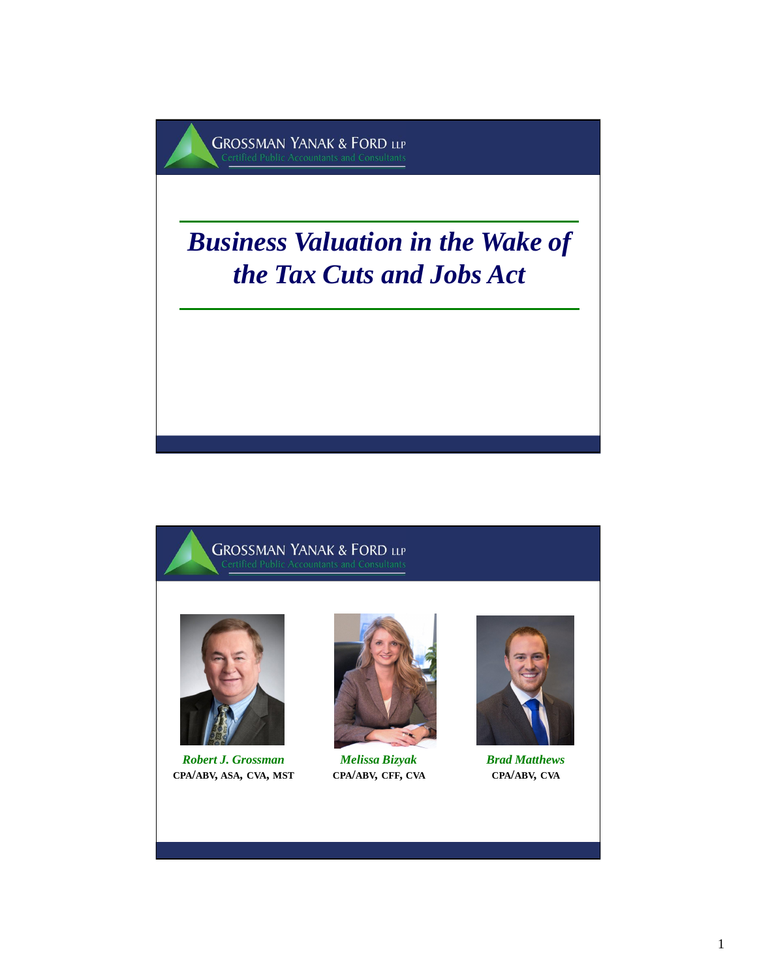



*Robert J. Grossman*  **CPA/ABV, ASA, CVA, MST**



*Melissa Bizyak* **CPA/ABV, CFF, CVA**



*Brad Matthews* **CPA/ABV, CVA**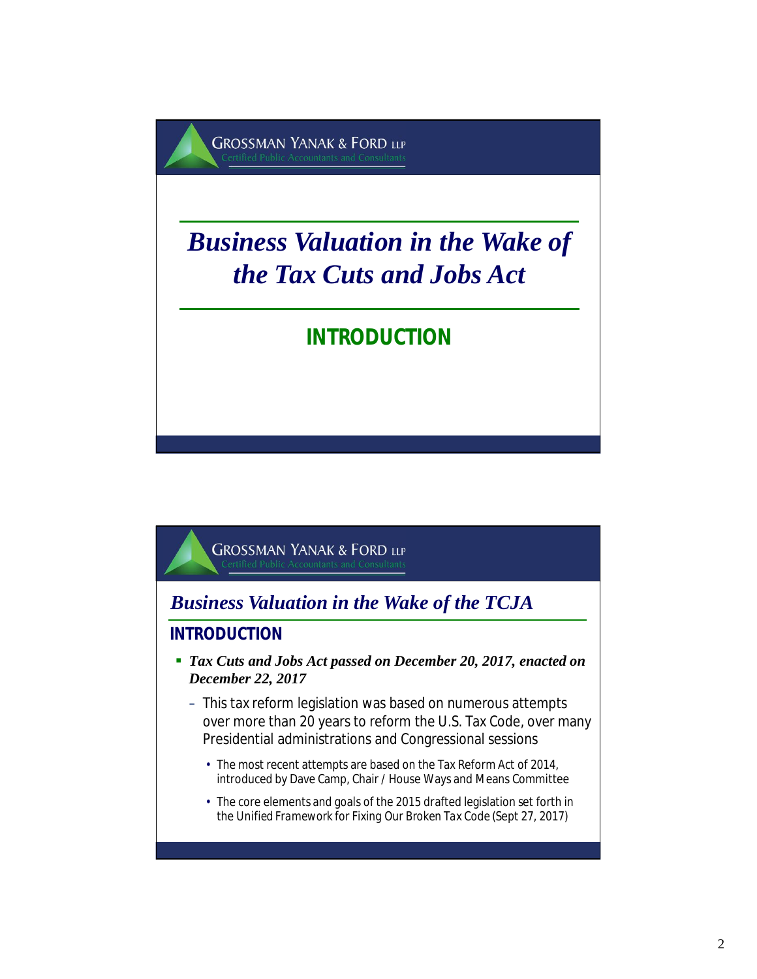

*Business Valuation in the Wake of the TCJA*

**INTRODUCTION**

- *Tax Cuts and Jobs Act passed on December 20, 2017, enacted on December 22, 2017*
	- This tax reform legislation was based on numerous attempts over more than 20 years to reform the U.S. Tax Code, over many Presidential administrations and Congressional sessions
		- The most recent attempts are based on the Tax Reform Act of 2014, introduced by Dave Camp, Chair / House Ways and Means Committee
		- The core elements and goals of the 2015 drafted legislation set forth in the *Unified Framework for Fixing Our Broken Tax Code* (Sept 27, 2017)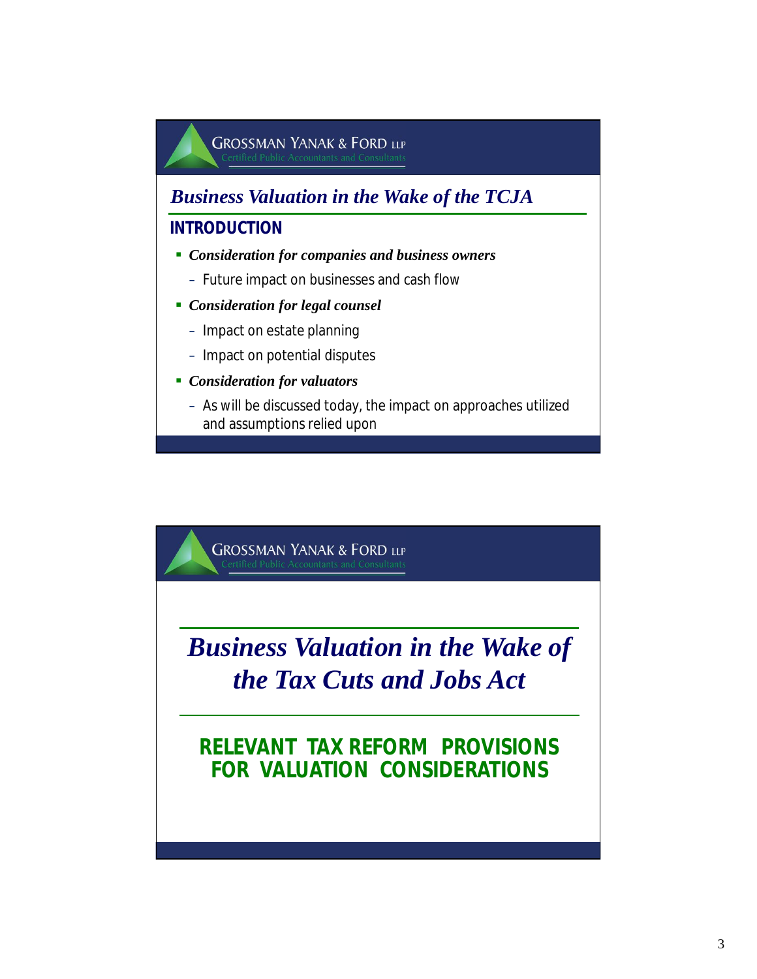

# *Business Valuation in the Wake of the Tax Cuts and Jobs Act*

### **RELEVANT TAX REFORM PROVISIONS FOR VALUATION CONSIDERATIONS**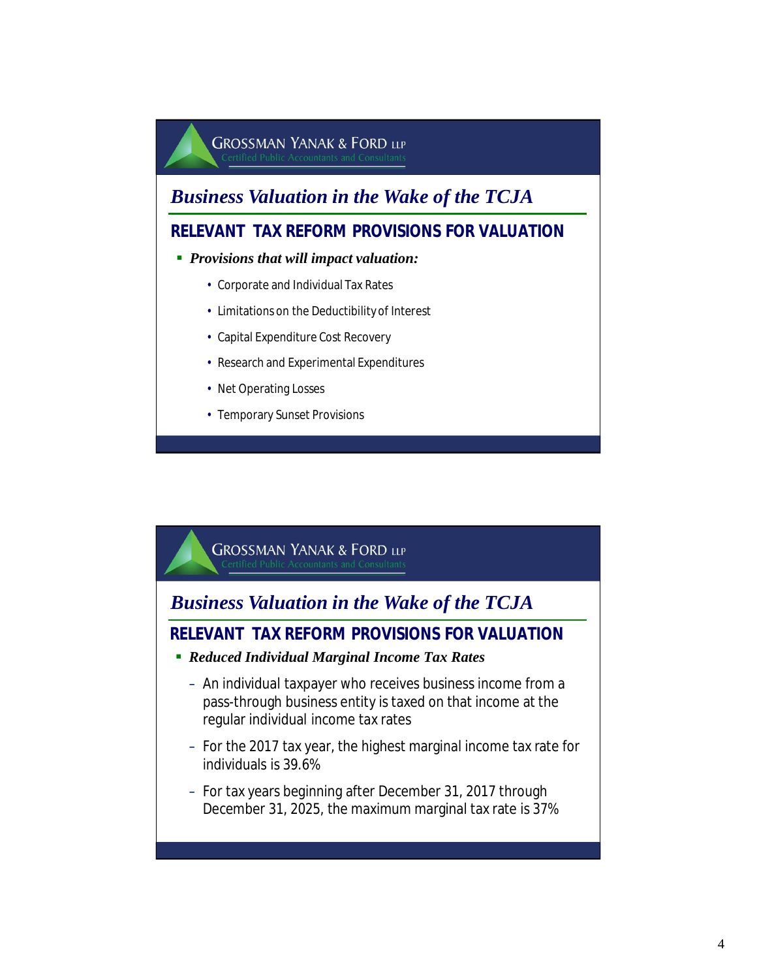### *Business Valuation in the Wake of the TCJA*

#### **RELEVANT TAX REFORM PROVISIONS FOR VALUATION**

#### *Provisions that will impact valuation:*

- Corporate and Individual Tax Rates
- Limitations on the Deductibility of Interest
- Capital Expenditure Cost Recovery
- Research and Experimental Expenditures
- Net Operating Losses
- Temporary Sunset Provisions



### *Business Valuation in the Wake of the TCJA*

#### **RELEVANT TAX REFORM PROVISIONS FOR VALUATION**

- *Reduced Individual Marginal Income Tax Rates*
	- An individual taxpayer who receives business income from a pass-through business entity is taxed on that income at the regular individual income tax rates
	- For the 2017 tax year, the highest marginal income tax rate for individuals is 39.6%
	- For tax years beginning after December 31, 2017 through December 31, 2025, the maximum marginal tax rate is 37%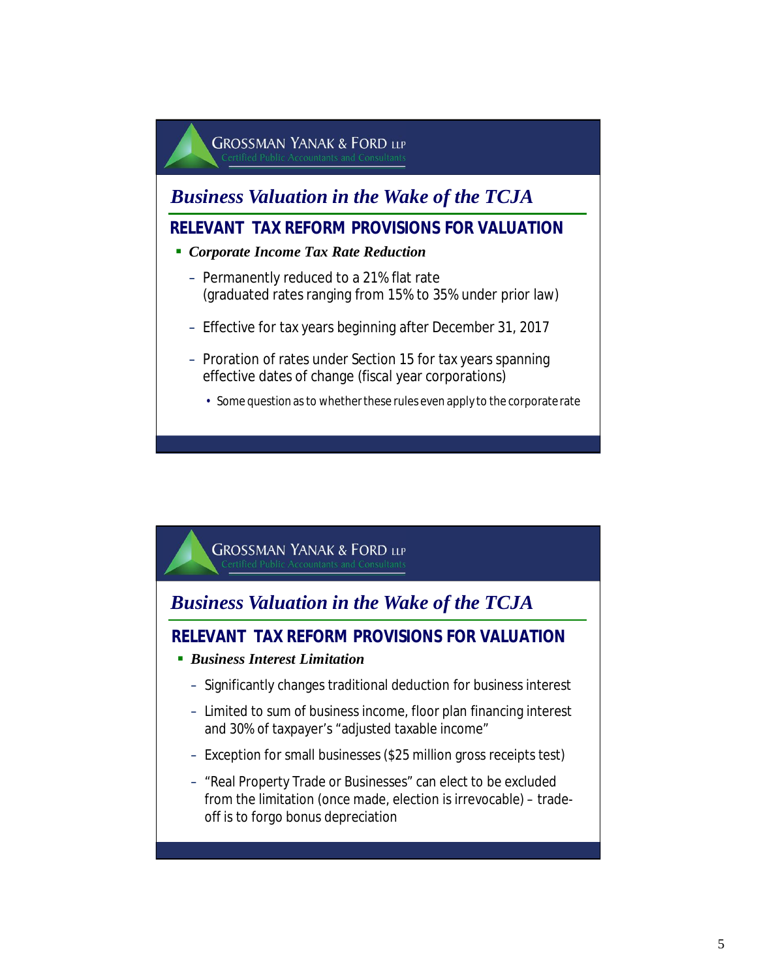

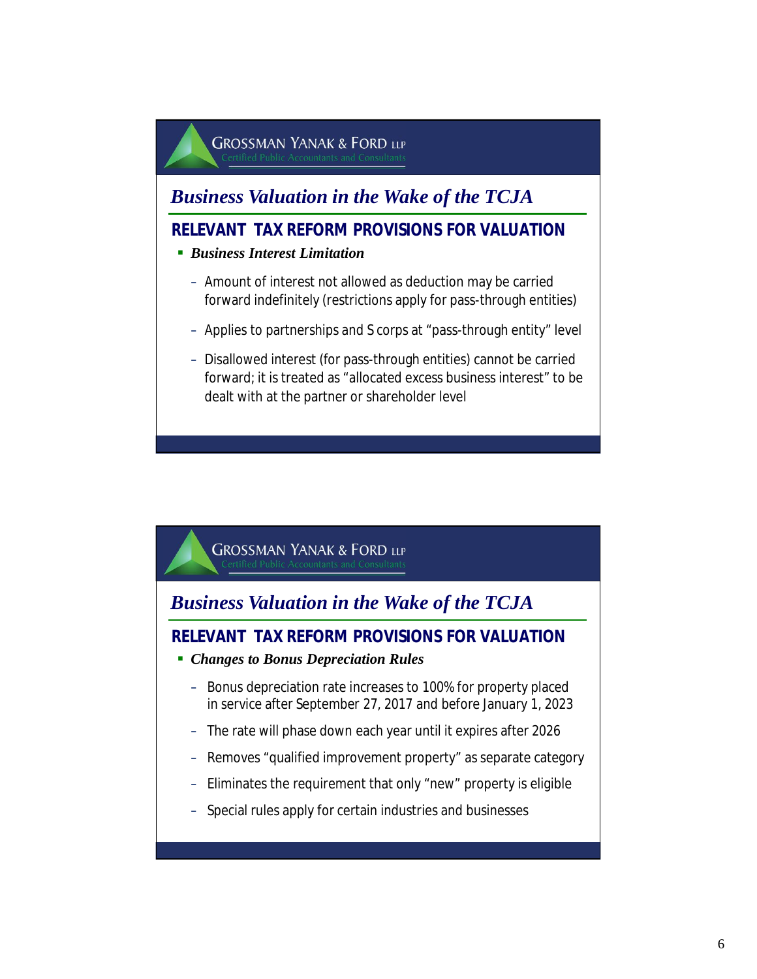### *Business Valuation in the Wake of the TCJA*

#### **RELEVANT TAX REFORM PROVISIONS FOR VALUATION**

- *Business Interest Limitation*
	- Amount of interest not allowed as deduction may be carried forward indefinitely (restrictions apply for pass-through entities)
	- Applies to partnerships and S corps at "pass-through entity" level
	- Disallowed interest (for pass-through entities) cannot be carried forward; it is treated as "allocated excess business interest" to be dealt with at the partner or shareholder level

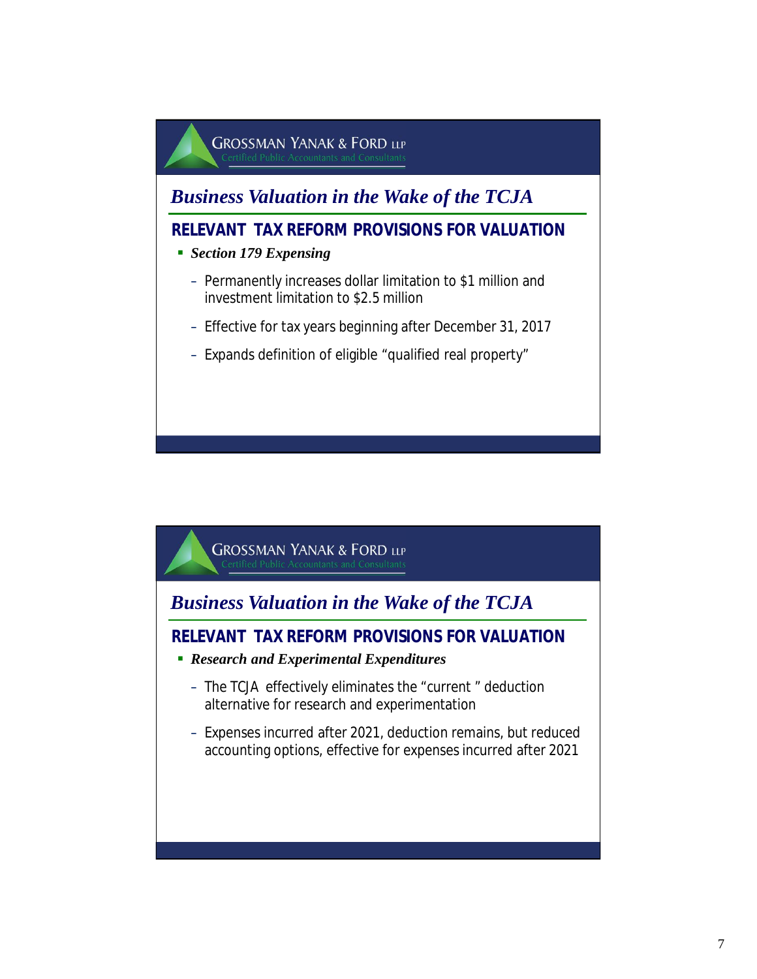

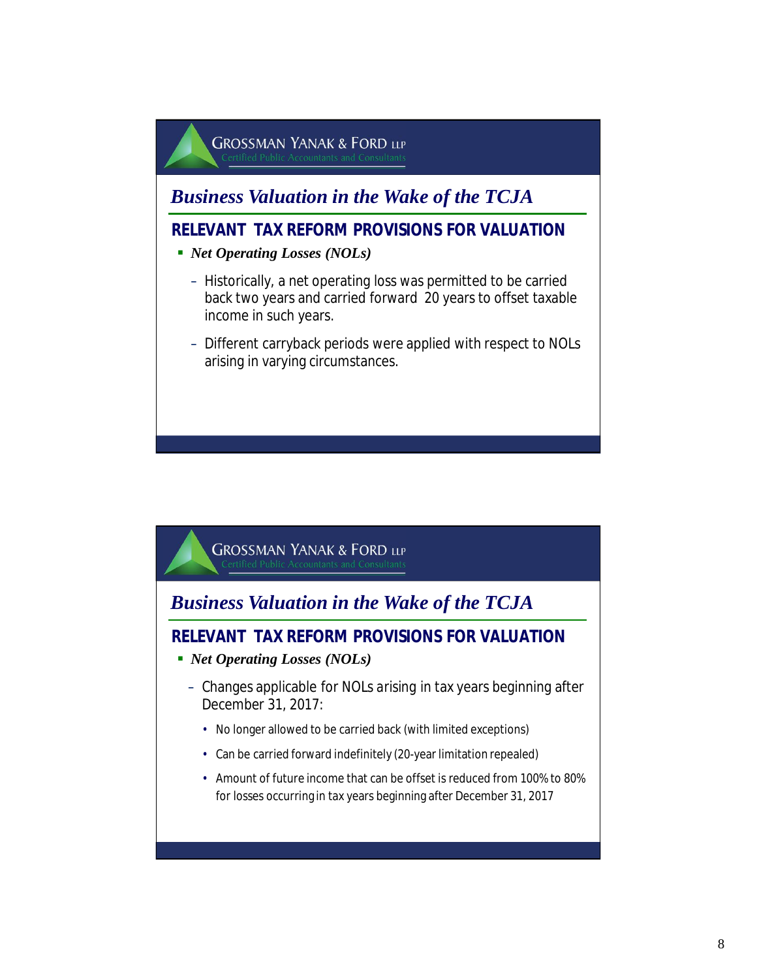

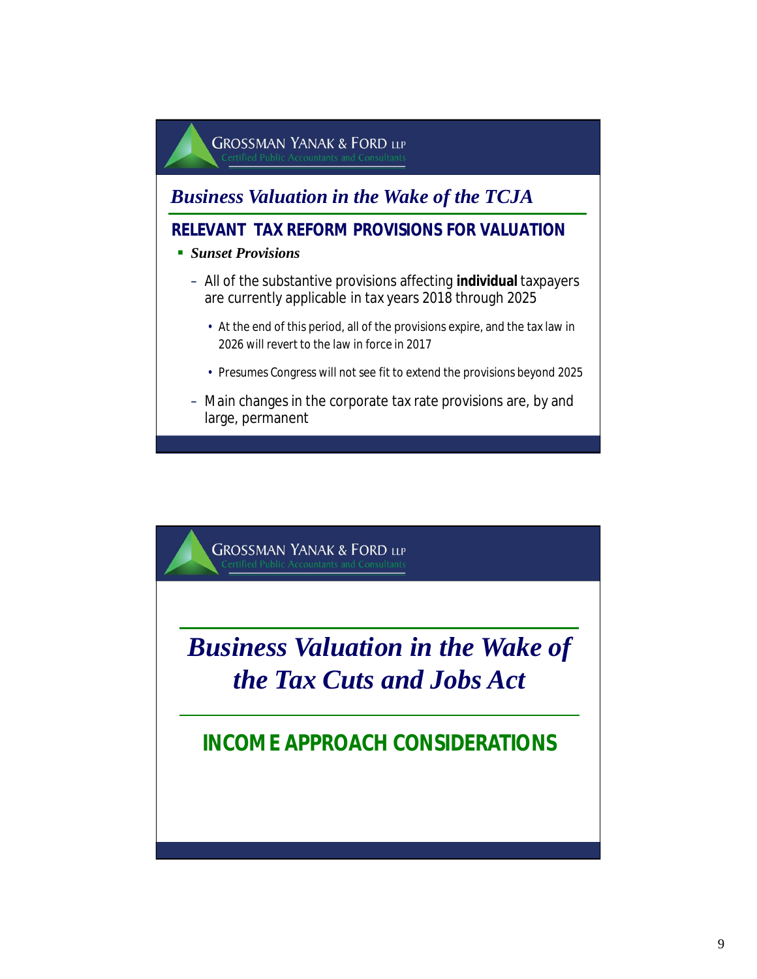

**GROSSMAN YANAK & FORD LLP** *Business Valuation in the Wake of the Tax Cuts and Jobs Act* **INCOME APPROACH CONSIDERATIONS**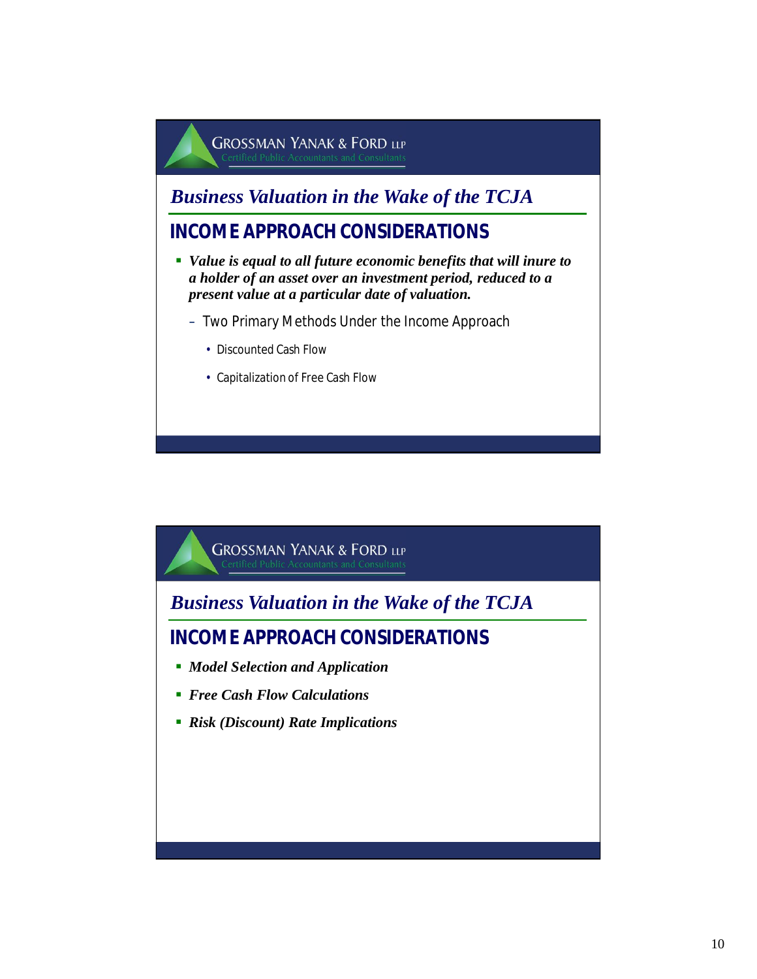*Business Valuation in the Wake of the TCJA*

- *Value is equal to all future economic benefits that will inure to a holder of an asset over an investment period, reduced to a present value at a particular date of valuation.*
	- Two Primary Methods Under the Income Approach
		- Discounted Cash Flow
		- Capitalization of Free Cash Flow

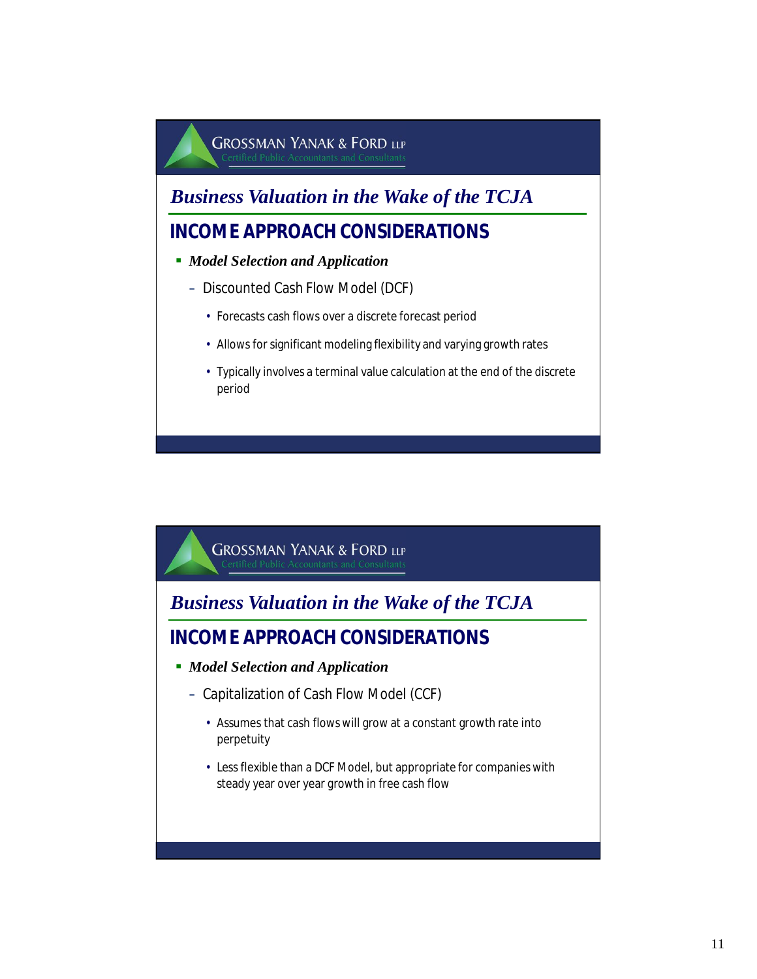*Business Valuation in the Wake of the TCJA*

- *Model Selection and Application*
	- Discounted Cash Flow Model (DCF)
		- Forecasts cash flows over a discrete forecast period
		- Allows for significant modeling flexibility and varying growth rates
		- Typically involves a terminal value calculation at the end of the discrete period

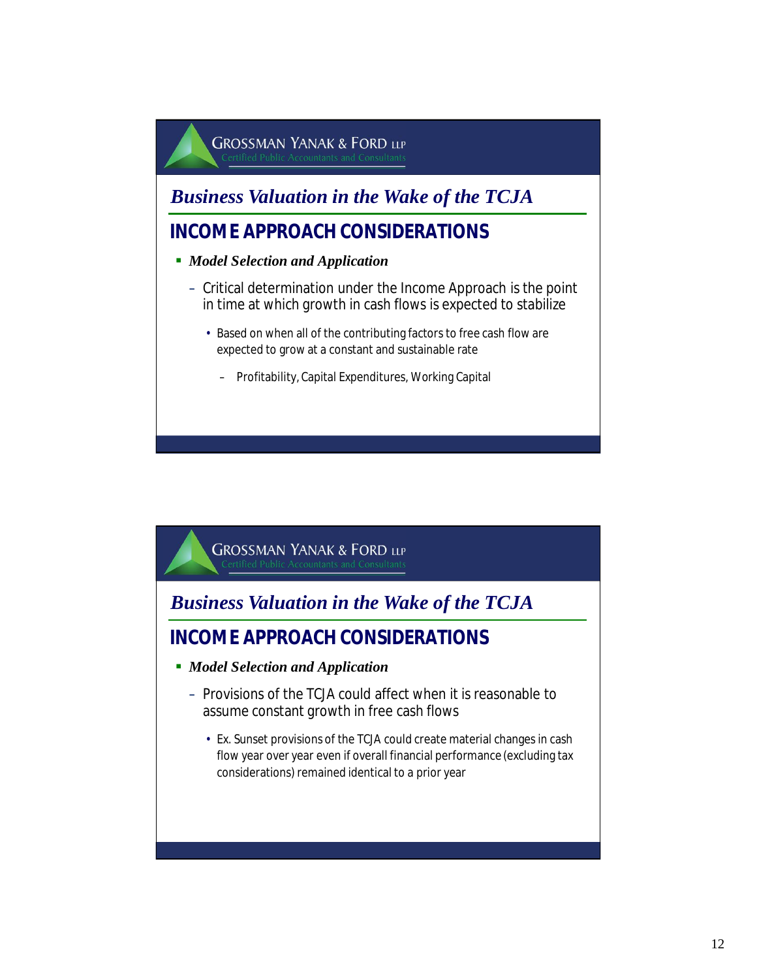*Business Valuation in the Wake of the TCJA*

- *Model Selection and Application*
	- Critical determination under the Income Approach is the point in time at which growth in cash flows is expected to stabilize
		- Based on when all of the contributing factors to free cash flow are expected to grow at a constant and sustainable rate
			- Profitability, Capital Expenditures, Working Capital

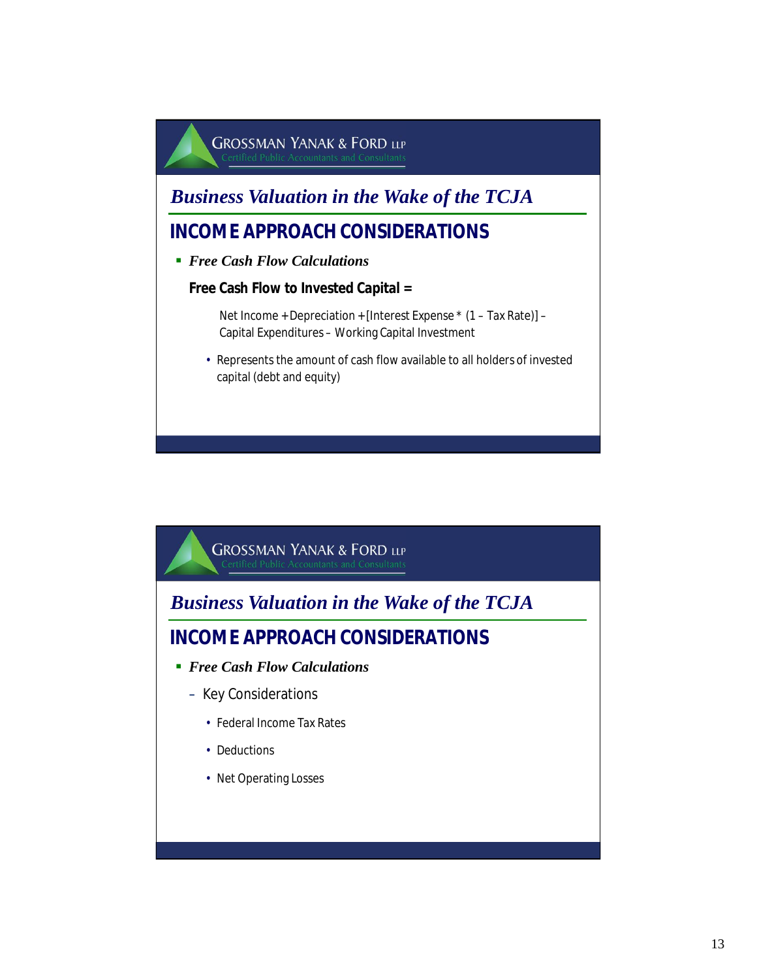

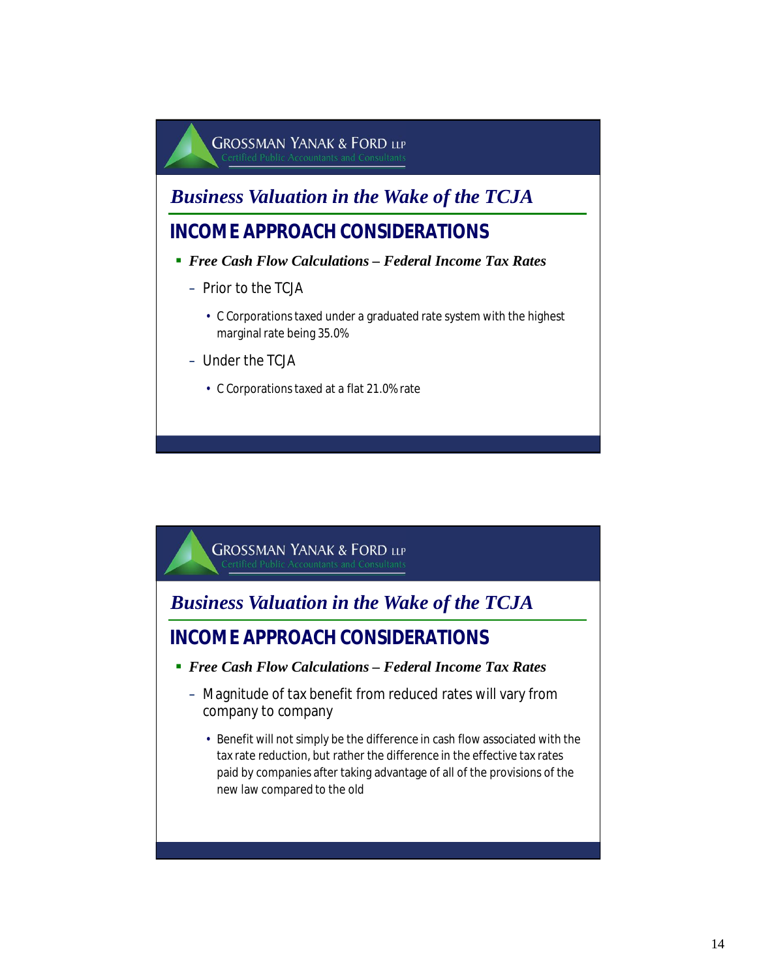

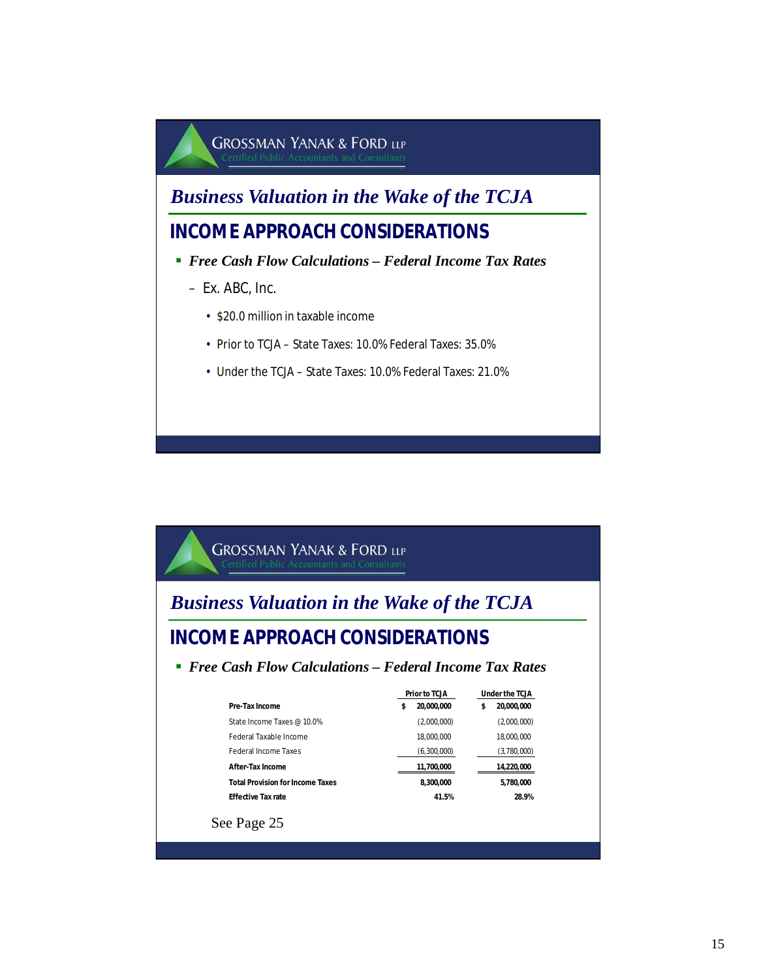

*Business Valuation in the Wake of the TCJA*

### **INCOME APPROACH CONSIDERATIONS**

- *Free Cash Flow Calculations Federal Income Tax Rates*
	- Ex. ABC, Inc.
		- \$20.0 million in taxable income
		- Prior to TCJA State Taxes: 10.0% Federal Taxes: 35.0%
		- Under the TCJA State Taxes: 10.0% Federal Taxes: 21.0%

### **GROSSMAN YANAK & FORD LLP**

# *Business Valuation in the Wake of the TCJA*

### **INCOME APPROACH CONSIDERATIONS**

#### *Free Cash Flow Calculations – Federal Income Tax Rates*

|                                         | Prior to TCJA    | Under the TCJA  |
|-----------------------------------------|------------------|-----------------|
| Pre-Tax Income                          | 20.000.000<br>\$ | 20.000.000<br>S |
| State Income Taxes @ 10.0%              | (2,000,000)      | (2,000,000)     |
| Federal Taxable Income                  | 18.000.000       | 18.000.000      |
| <b>Federal Income Taxes</b>             | (6,300,000)      | (3,780,000)     |
| After-Tax Income                        | 11,700,000       | 14,220,000      |
| <b>Total Provision for Income Taxes</b> | 8.300.000        | 5.780.000       |
| <b>Fffective Tax rate</b>               | 41.5%            | 28.9%           |
| See Page 25                             |                  |                 |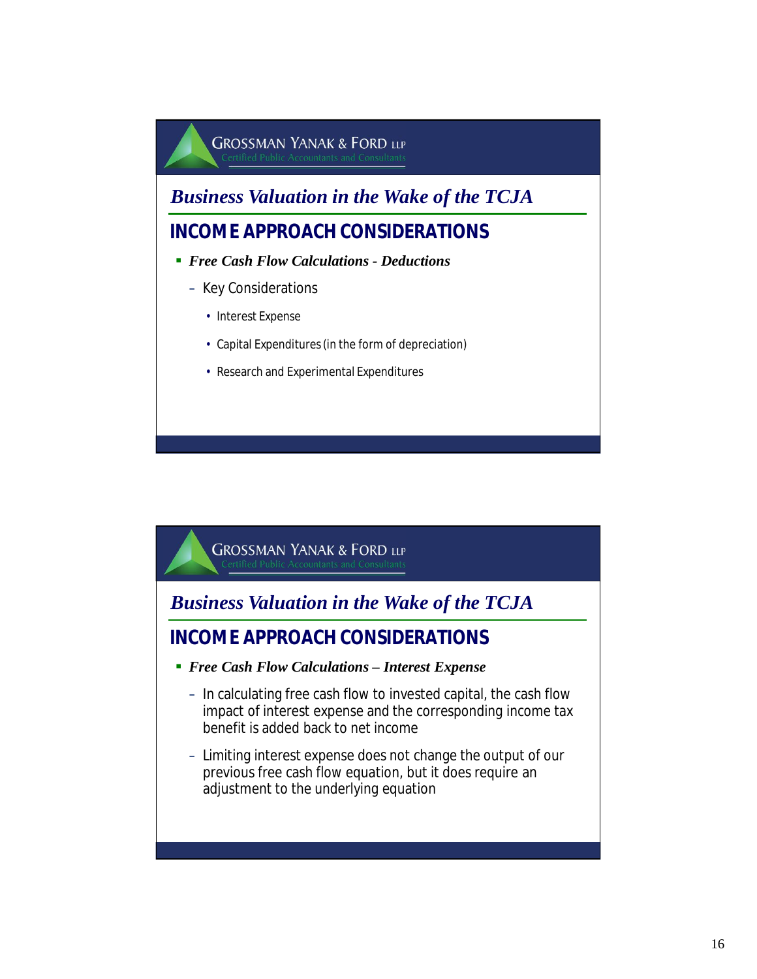

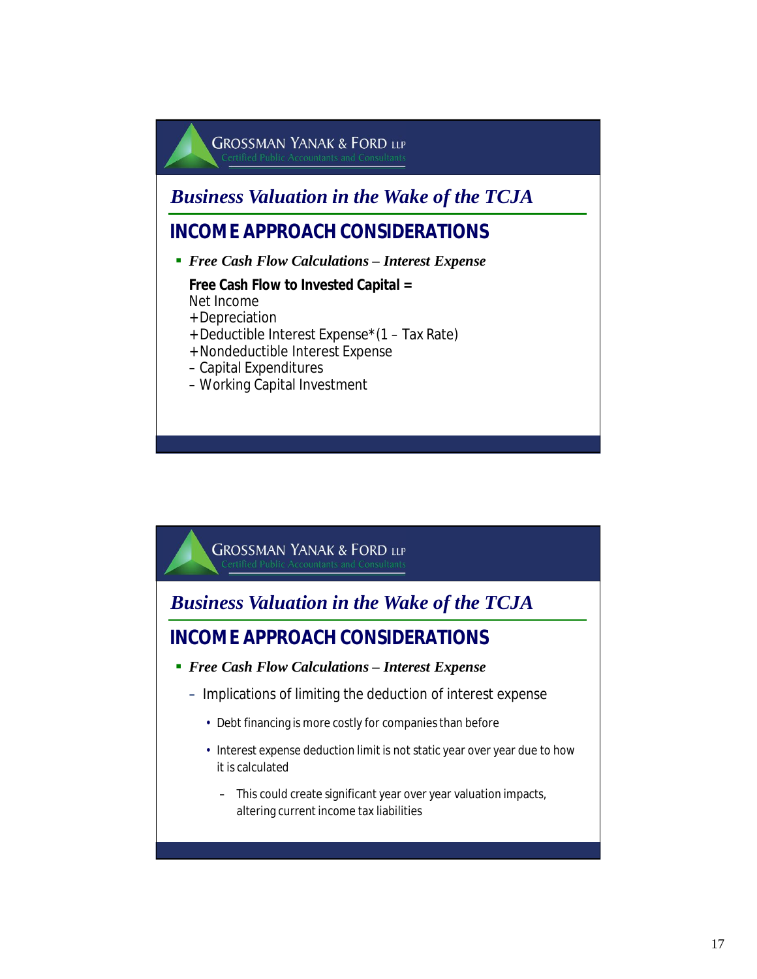## **GROSSMAN YANAK & FORD LLP** *Business Valuation in the Wake of the TCJA* **INCOME APPROACH CONSIDERATIONS** *Free Cash Flow Calculations – Interest Expense* **Free Cash Flow to Invested Capital =** Net Income + Depreciation + Deductible Interest Expense\*(1 – Tax Rate) + Nondeductible Interest Expense – Capital Expenditures – Working Capital Investment



- *Free Cash Flow Calculations Interest Expense*
	- Implications of limiting the deduction of interest expense
		- Debt financing is more costly for companies than before
		- Interest expense deduction limit is not static year over year due to how it is calculated
			- This could create significant year over year valuation impacts, altering current income tax liabilities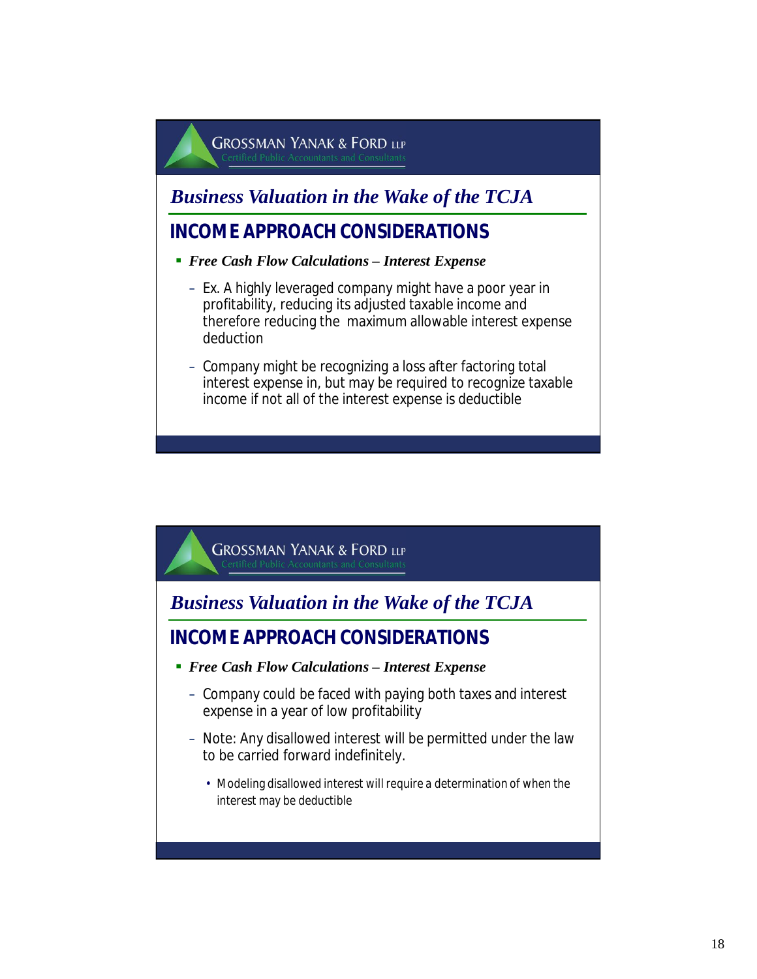### *Business Valuation in the Wake of the TCJA*

- *Free Cash Flow Calculations Interest Expense*
	- Ex. A highly leveraged company might have a poor year in profitability, reducing its adjusted taxable income and therefore reducing the maximum allowable interest expense deduction
	- Company might be recognizing a loss after factoring total interest expense in, but may be required to recognize taxable income if not all of the interest expense is deductible

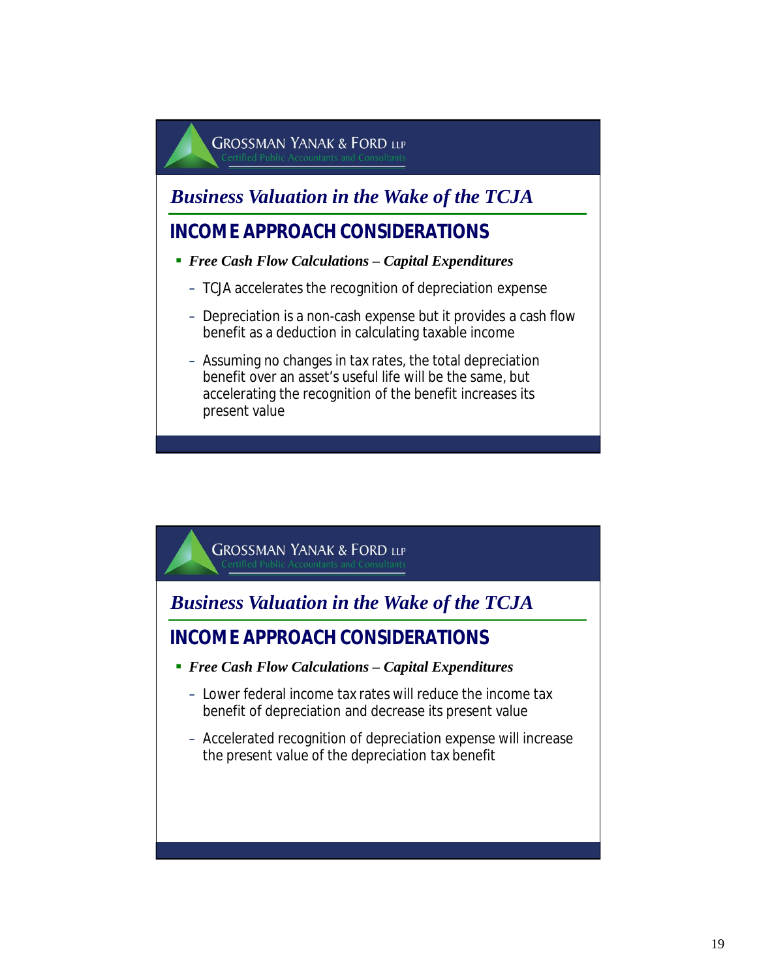*Business Valuation in the Wake of the TCJA*

- *Free Cash Flow Calculations Capital Expenditures*
	- TCJA accelerates the recognition of depreciation expense
	- Depreciation is a non-cash expense but it provides a cash flow benefit as a deduction in calculating taxable income
	- Assuming no changes in tax rates, the total depreciation benefit over an asset's useful life will be the same, but accelerating the recognition of the benefit increases its present value

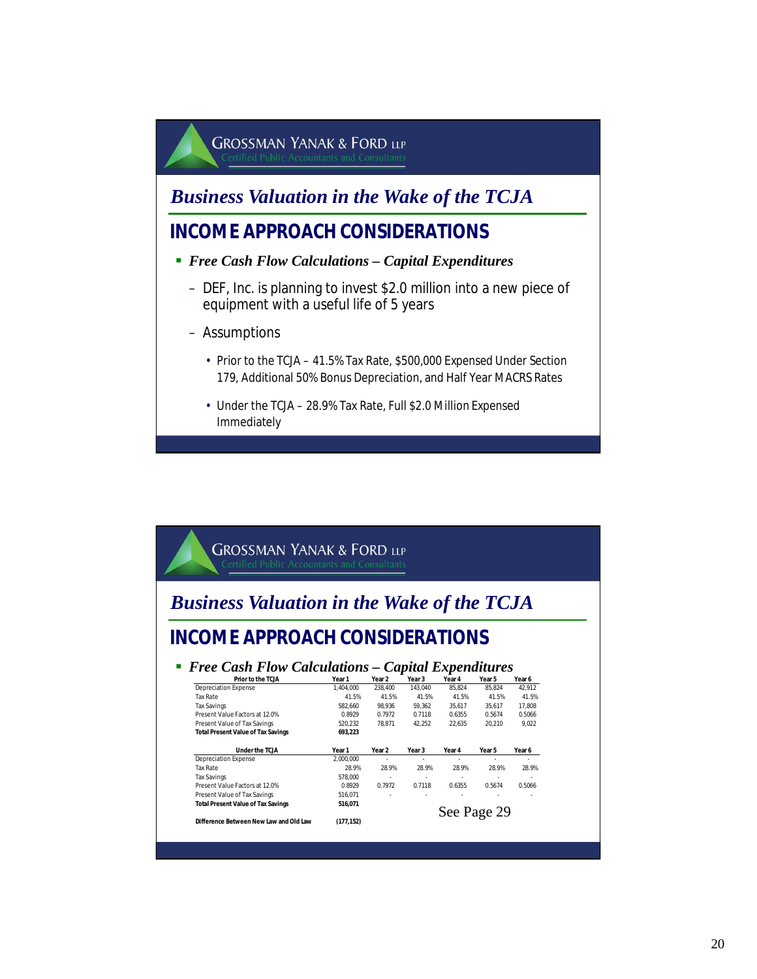

#### *Business Valuation in the Wake of the TCJA*

#### **INCOME APPROACH CONSIDERATIONS**

- *Free Cash Flow Calculations Capital Expenditures*
	- DEF, Inc. is planning to invest \$2.0 million into a new piece of equipment with a useful life of 5 years
	- Assumptions
		- Prior to the TCJA 41.5% Tax Rate, \$500,000 Expensed Under Section 179, Additional 50% Bonus Depreciation, and Half Year MACRS Rates
		- Under the TCJA 28.9% Tax Rate, Full \$2.0 Million Expensed Immediately

#### **GROSSMAN YANAK & FORD LLP** *Business Valuation in the Wake of the TCJA* **INCOME APPROACH CONSIDERATIONS Free Cash Flow Calculations – Capital Expenditures**<br>Prior to the TCIA Year 1 Year 3 Year 4 Year 5 Year 5 Year 6 **Prior to the TCJA Year 1 Year 2 Year 3 Year 4 Year 5 Year 6** Depreciation Expense Tax Rate 41.5% 41.5% 41.5% 41.5% 41.5% 41.5% Tax Savings 582,660 98,936 59,362 35,617 35,617 17,808 Present Value Factors at 12.0% 0.8929 0.7972 0.7118 0.6355 0.5674 0.5066 Present Value of Tax Savings **Total Present Value of Tax Savings 693,223 Expense PECLA Year 1 Year 2 Year 3 Year 4 Year 5 Year 6 2000.000 CONCILITY** Depreciation Expense 2,000,000 - - - - - Tax Rate 28.9% 28.9% 28.9% 28.9% 28.9% 28.9% Tax Savings 578,000 - - - - - Present Value Factors at 12.0% 0.8929 0.7972 0.7118 0.6355 0.5674 0.5066 Present Value of Tax Savings 516,071<br>Total Present Value of Tax Savings 516,071 **Total Present Value of Tax Savings**

**Difference Between New Law and Old Law (177,152)**

#### See Page 29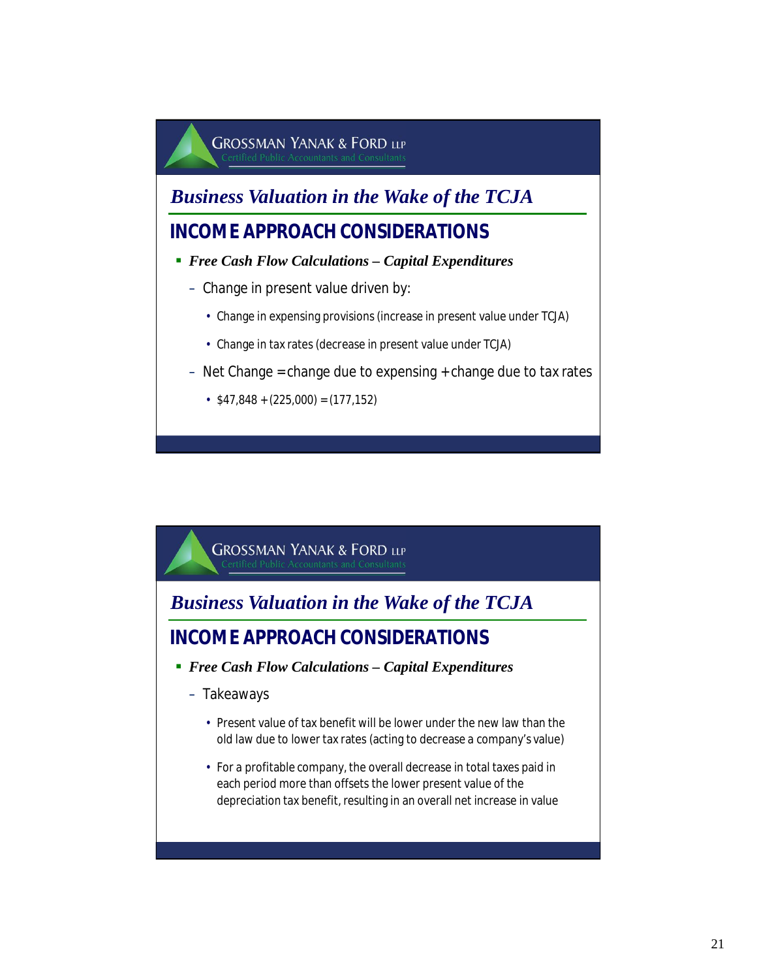*Business Valuation in the Wake of the TCJA*

#### **INCOME APPROACH CONSIDERATIONS**

- *Free Cash Flow Calculations Capital Expenditures*
	- Change in present value driven by:
		- Change in expensing provisions (increase in present value under TCJA)
		- Change in tax rates (decrease in present value under TCJA)
	- $-$  Net Change = change due to expensing  $+$  change due to tax rates
		- $\cdot$  \$47,848 + (225,000) = (177,152)

**GROSSMAN YANAK & FORD LLP** 

*Business Valuation in the Wake of the TCJA*

- *Free Cash Flow Calculations Capital Expenditures*
	- Takeaways
		- Present value of tax benefit will be lower under the new law than the old law due to lower tax rates (acting to decrease a company's value)
		- For a profitable company, the overall decrease in total taxes paid in each period more than offsets the lower present value of the depreciation tax benefit, resulting in an overall net increase in value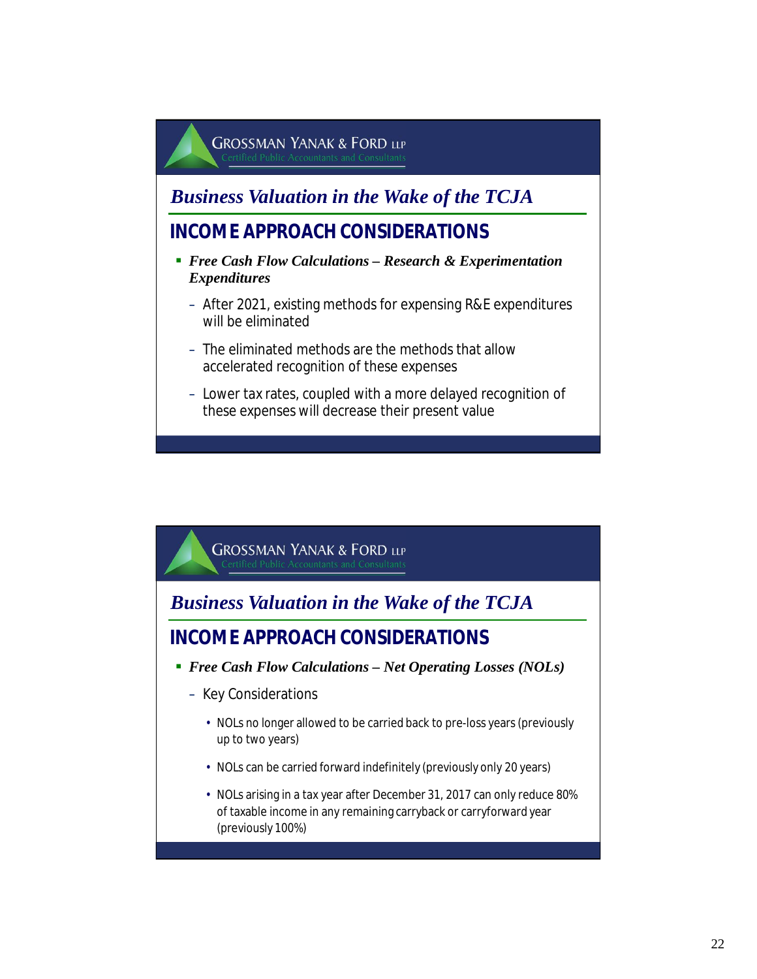### *Business Valuation in the Wake of the TCJA*

- *Free Cash Flow Calculations Research & Experimentation Expenditures*
	- After 2021, existing methods for expensing R&E expenditures will be eliminated
	- The eliminated methods are the methods that allow accelerated recognition of these expenses
	- Lower tax rates, coupled with a more delayed recognition of these expenses will decrease their present value

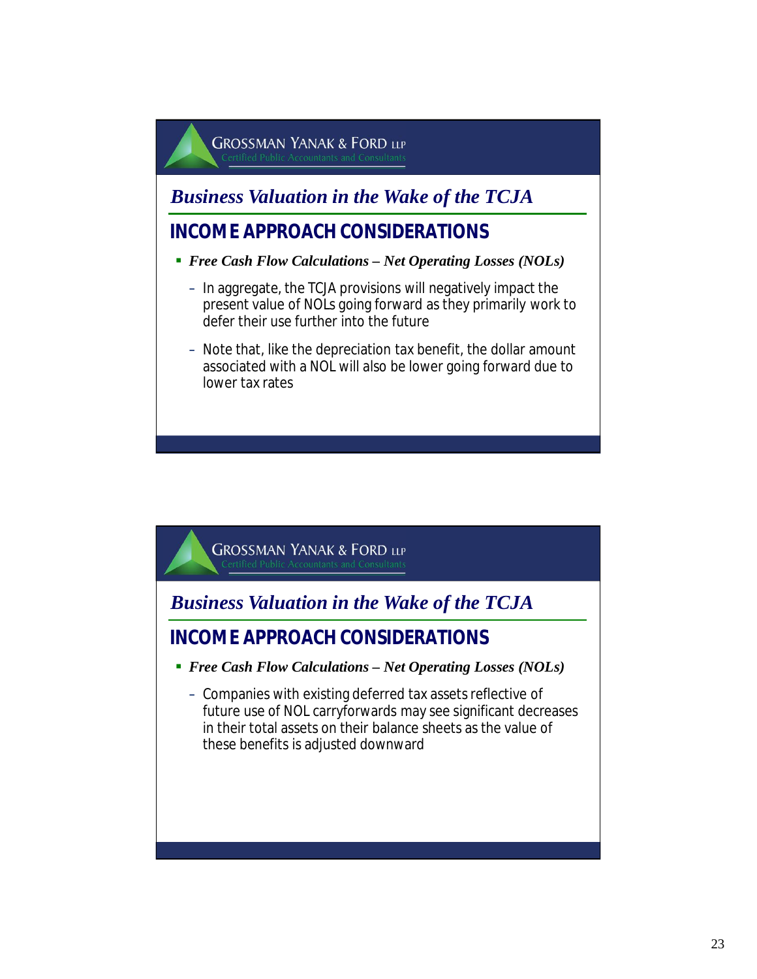### *Business Valuation in the Wake of the TCJA*

- *Free Cash Flow Calculations Net Operating Losses (NOLs)*
	- In aggregate, the TCJA provisions will negatively impact the present value of NOLs going forward as they primarily work to defer their use further into the future
	- Note that, like the depreciation tax benefit, the dollar amount associated with a NOL will also be lower going forward due to lower tax rates

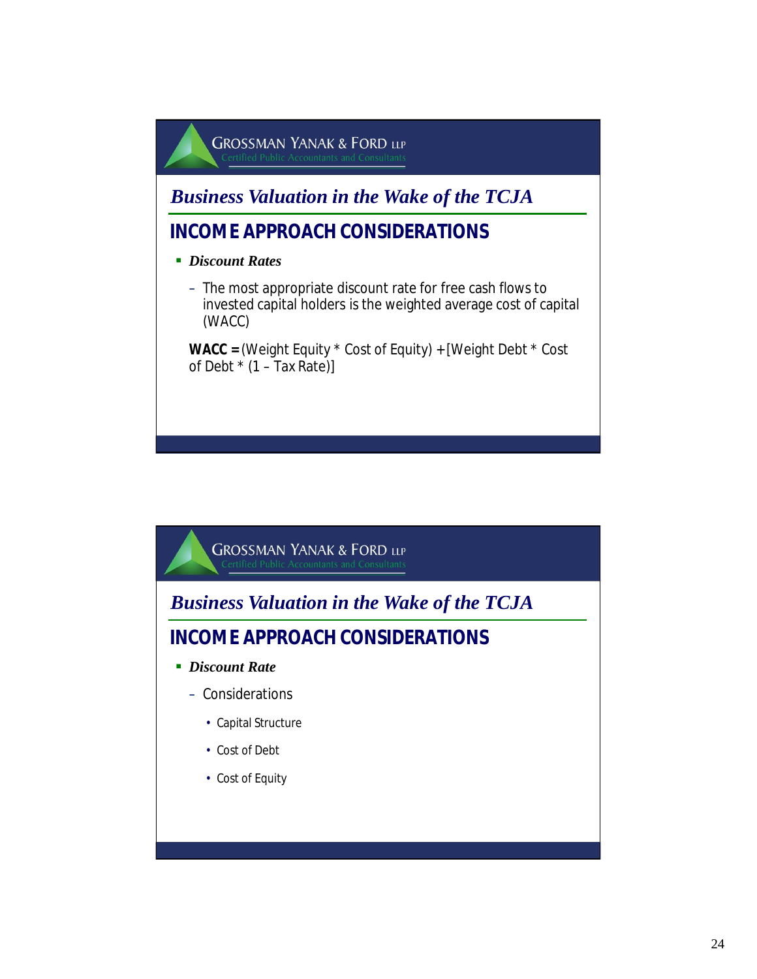

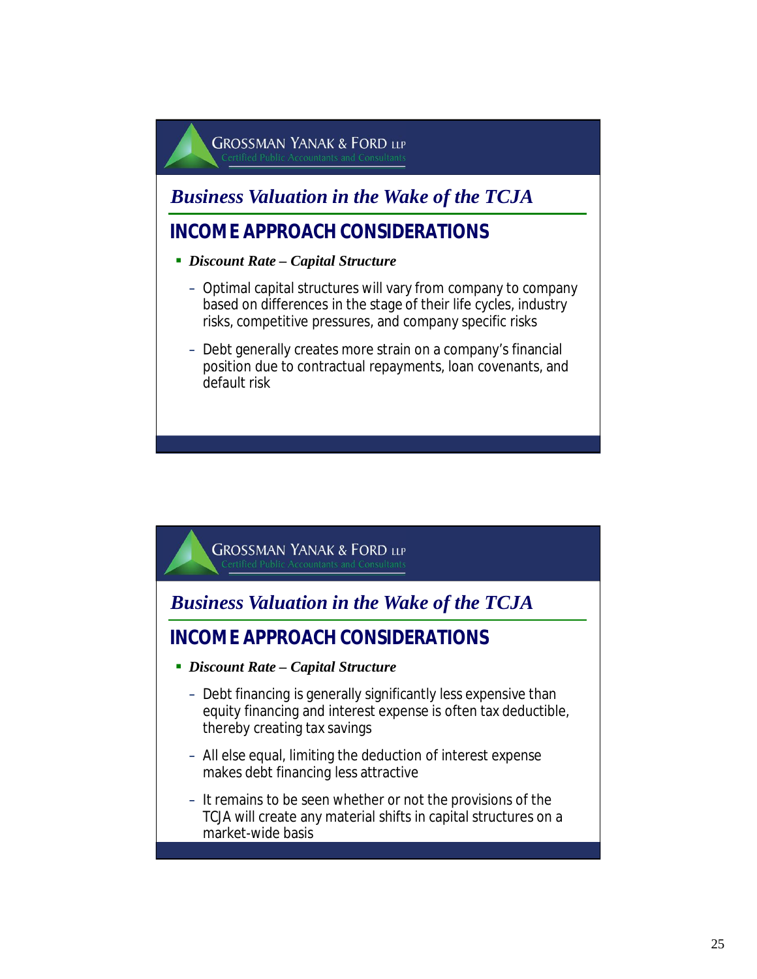### *Business Valuation in the Wake of the TCJA*

- *Discount Rate Capital Structure*
	- Optimal capital structures will vary from company to company based on differences in the stage of their life cycles, industry risks, competitive pressures, and company specific risks
	- Debt generally creates more strain on a company's financial position due to contractual repayments, loan covenants, and default risk

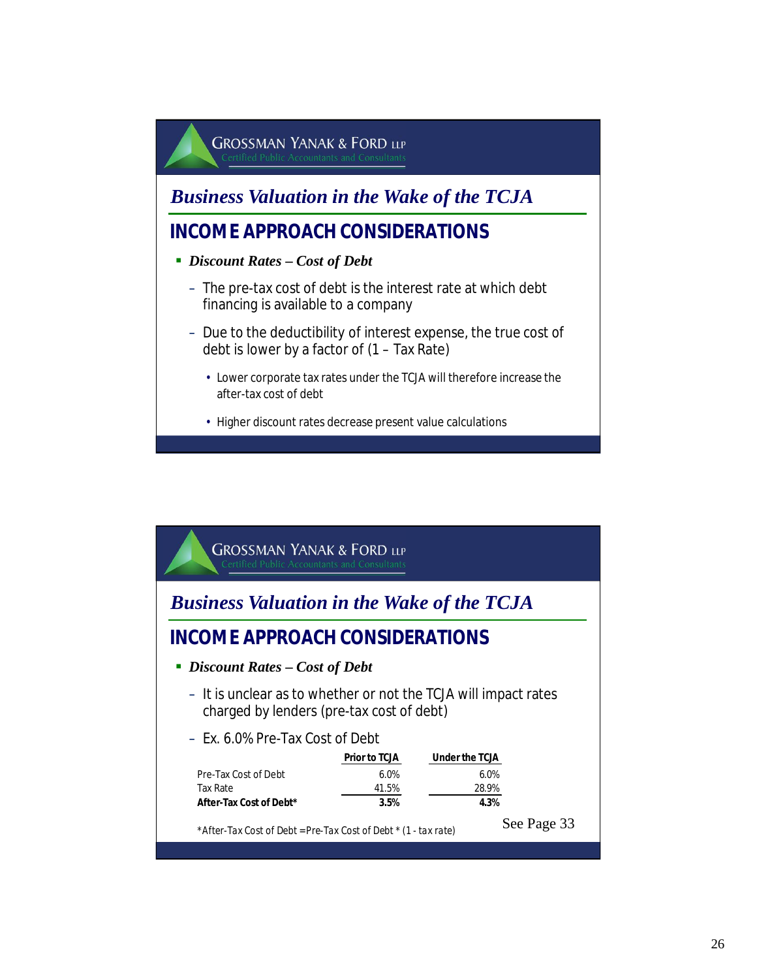

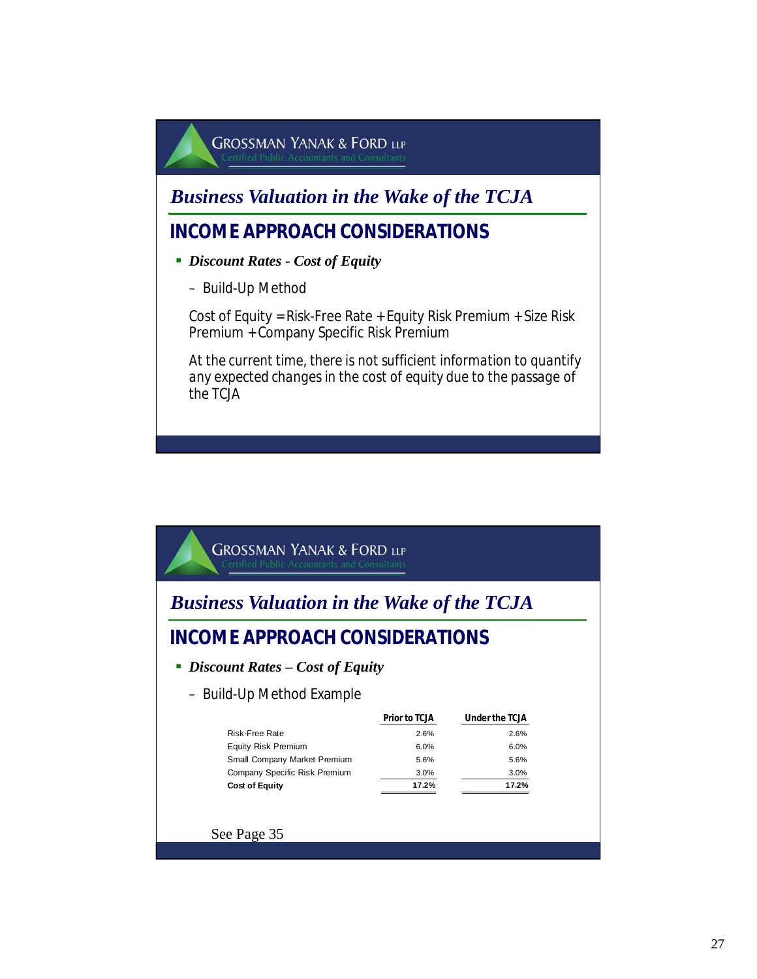*Business Valuation in the Wake of the TCJA*

### **INCOME APPROACH CONSIDERATIONS**

- *Discount Rates Cost of Equity*
	- Build-Up Method

Cost of Equity = Risk-Free Rate + Equity Risk Premium + Size Risk Premium + Company Specific Risk Premium

*At the current time, there is not sufficient information to quantify any expected changes in the cost of equity due to the passage of the TCJA*

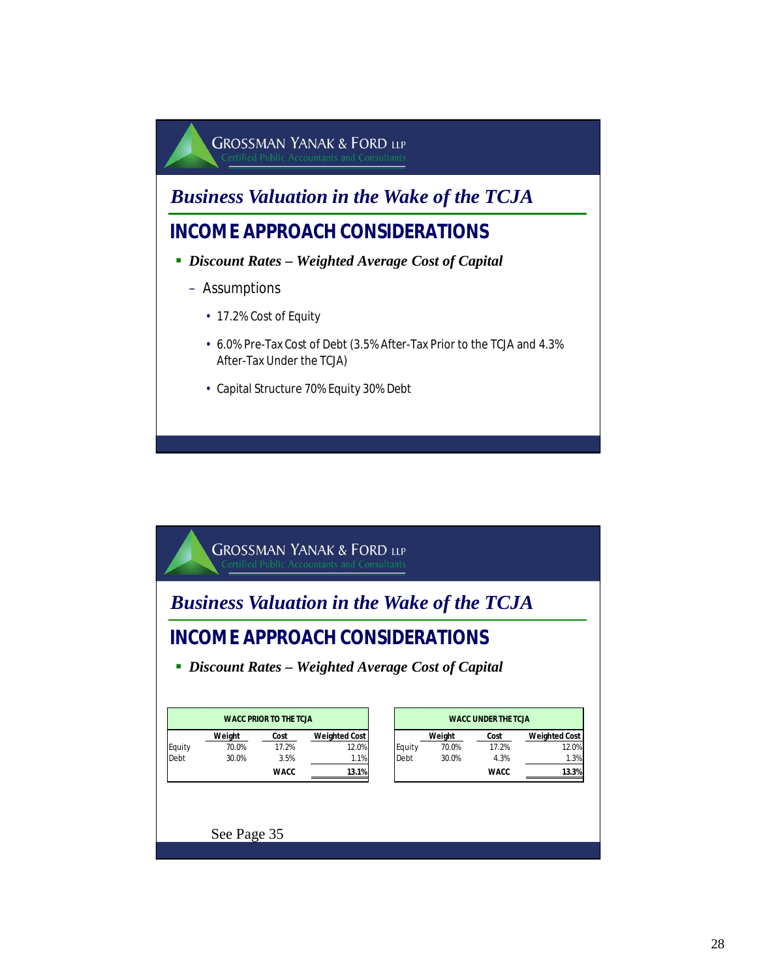

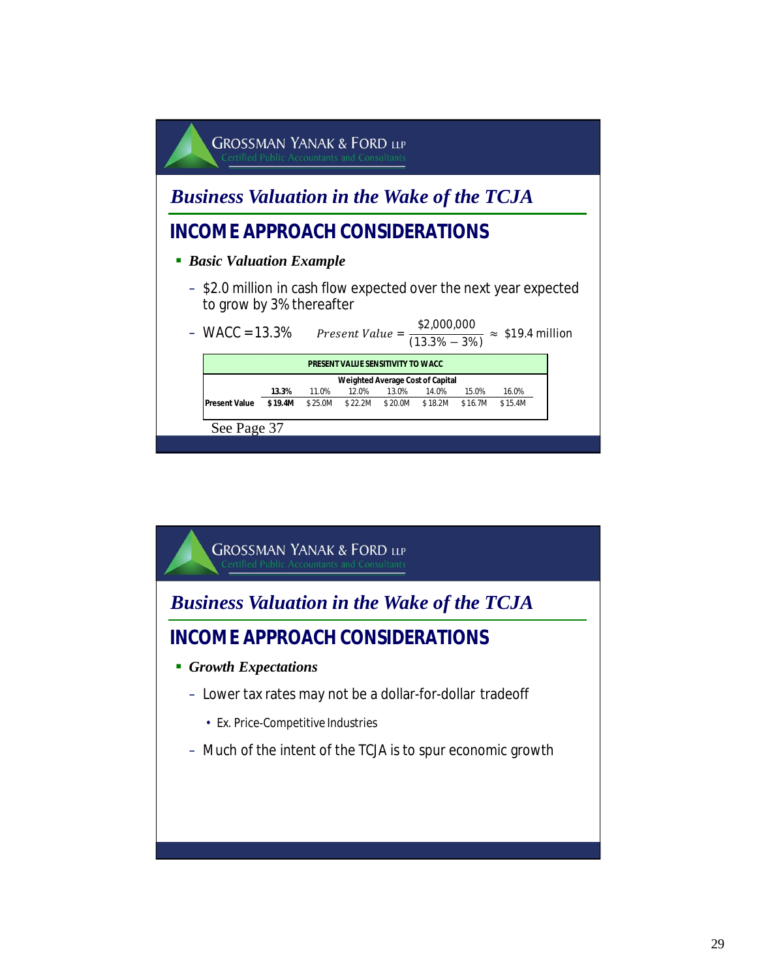

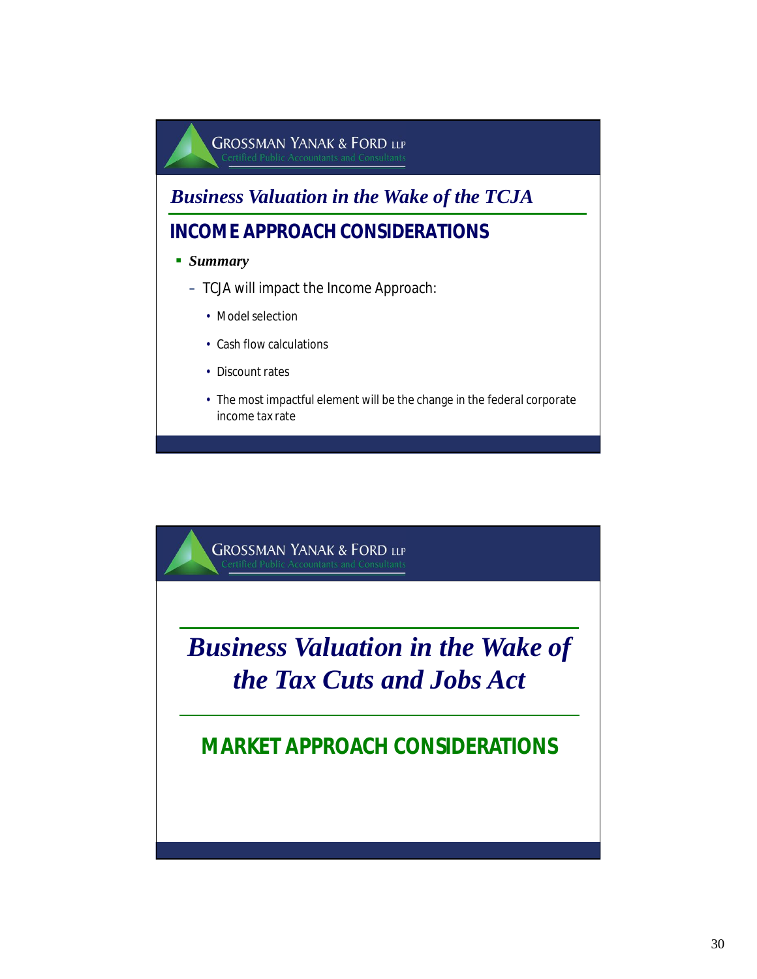

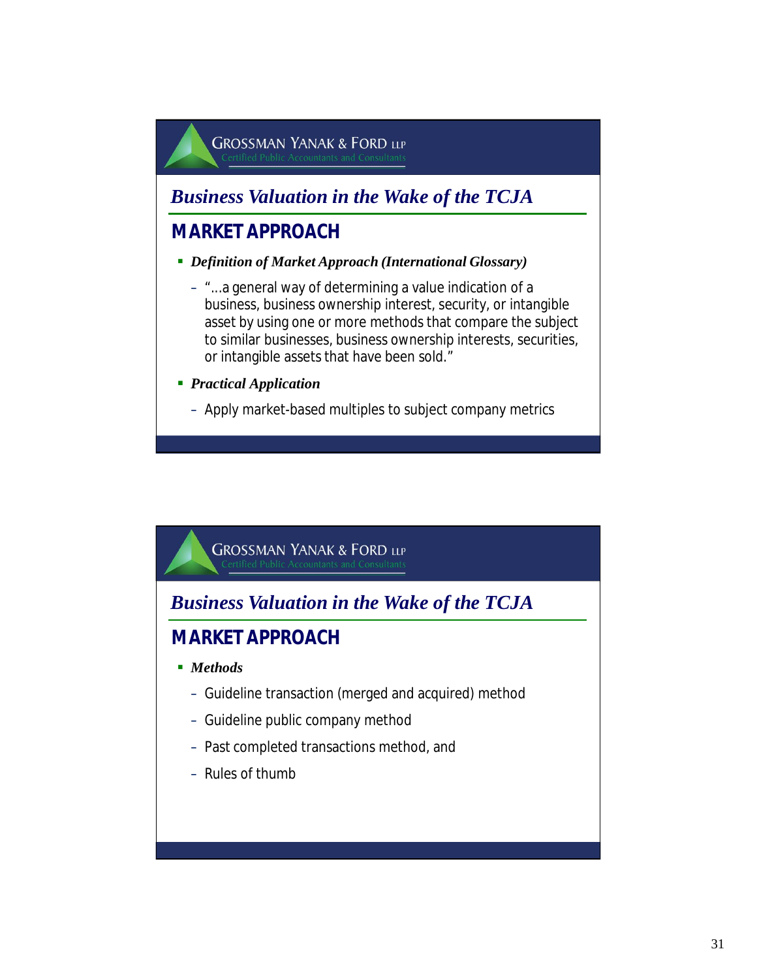*Business Valuation in the Wake of the TCJA*

### **MARKET APPROACH**

- *Definition of Market Approach (International Glossary)*
	- "...a general way of determining a value indication of a business, business ownership interest, security, or intangible asset by using one or more methods that compare the subject to similar businesses, business ownership interests, securities, or intangible assets that have been sold."
- *Practical Application*
	- Apply market-based multiples to subject company metrics



*Business Valuation in the Wake of the TCJA*

### **MARKET APPROACH**

- *Methods*
	- Guideline transaction (merged and acquired) method
	- Guideline public company method
	- Past completed transactions method, and
	- Rules of thumb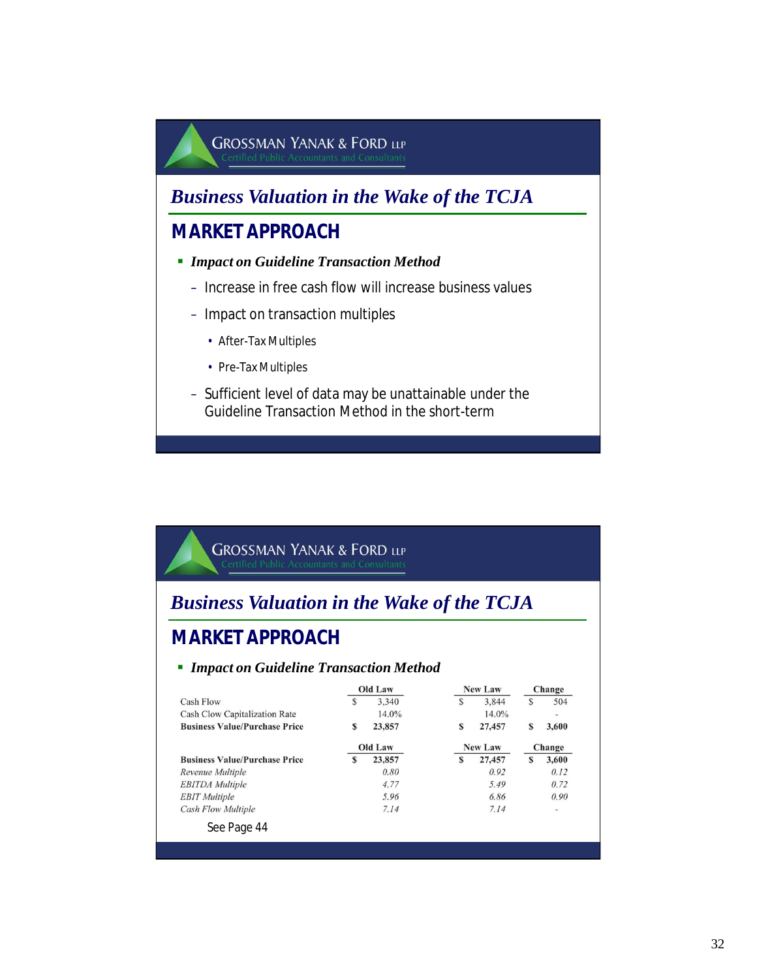### *Business Valuation in the Wake of the TCJA*

### **MARKET APPROACH**

- *Impact on Guideline Transaction Method*
	- Increase in free cash flow will increase business values
	- Impact on transaction multiples
		- After-Tax Multiples
		- Pre-Tax Multiples
	- Sufficient level of data may be unattainable under the Guideline Transaction Method in the short-term

#### **GROSSMAN YANAK & FORD LLP**

### *Business Valuation in the Wake of the TCJA*

### **MARKET APPROACH**

#### *Impact on Guideline Transaction Method*

|                                      |   | <b>Old Law</b> |   | New Law        |   | Change                   |
|--------------------------------------|---|----------------|---|----------------|---|--------------------------|
| Cash Flow                            | S | 3.340          | S | 3.844          | S | 504                      |
| Cash Clow Capitalization Rate        |   | 14.0%          |   | 14.0%          |   | $\overline{\phantom{a}}$ |
| <b>Business Value/Purchase Price</b> | S | 23,857         | S | 27,457         | S | 3,600                    |
|                                      |   | Old Law        |   | <b>New Law</b> |   | Change                   |
| <b>Business Value/Purchase Price</b> | S | 23,857         | S | 27,457         | S | 3,600                    |
| Revenue Multiple                     |   | 0.80           |   | 0.92           |   | 0.12                     |
| <b>EBITDA</b> Multiple               |   | 4.77           |   | 5.49           |   | 0.72                     |
| <b>EBIT</b> Multiple                 |   | 5.96           |   | 6.86           |   | 0.90                     |
| <b>Cash Flow Multiple</b>            |   | 7.14           |   | 7.14           |   | $\overline{\phantom{a}}$ |
| See Page 44                          |   |                |   |                |   |                          |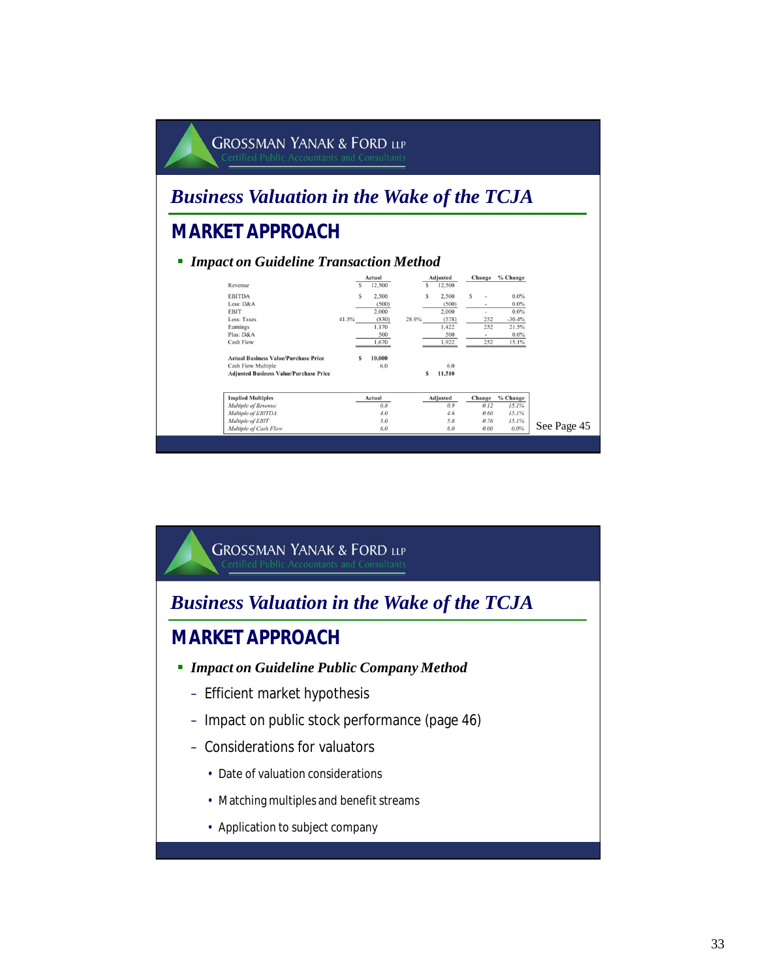

**GROSSMAN YANAK & FORD LLP** *Business Valuation in the Wake of the TCJA* **MARKET APPROACH** *Impact on Guideline Public Company Method* – Efficient market hypothesis – Impact on public stock performance (page 46) – Considerations for valuators • Date of valuation considerations • Matching multiples and benefit streams • Application to subject company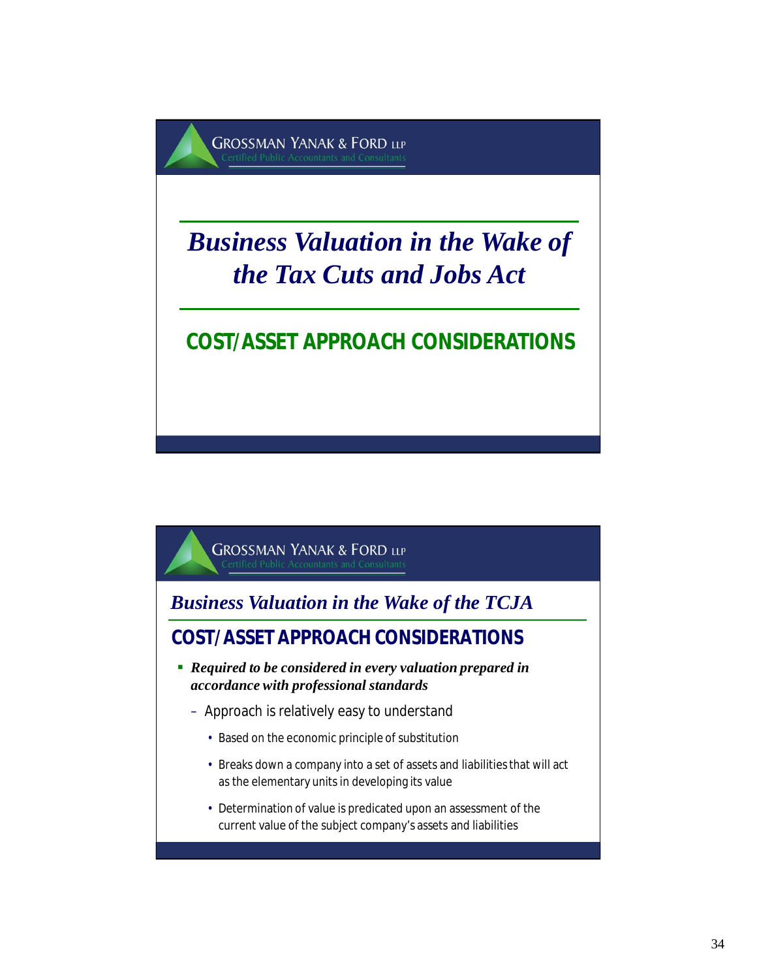

# *Business Valuation in the Wake of the Tax Cuts and Jobs Act*

## **COST/ASSET APPROACH CONSIDERATIONS**

**GROSSMAN YANAK & FORD LLP** 

*Business Valuation in the Wake of the TCJA*

**COST/ASSET APPROACH CONSIDERATIONS**

- *Required to be considered in every valuation prepared in accordance with professional standards*
	- Approach is relatively easy to understand
		- Based on the economic principle of substitution
		- Breaks down a company into a set of assets and liabilities that will act as the elementary units in developing its value
		- Determination of value is predicated upon an assessment of the current value of the subject company's assets and liabilities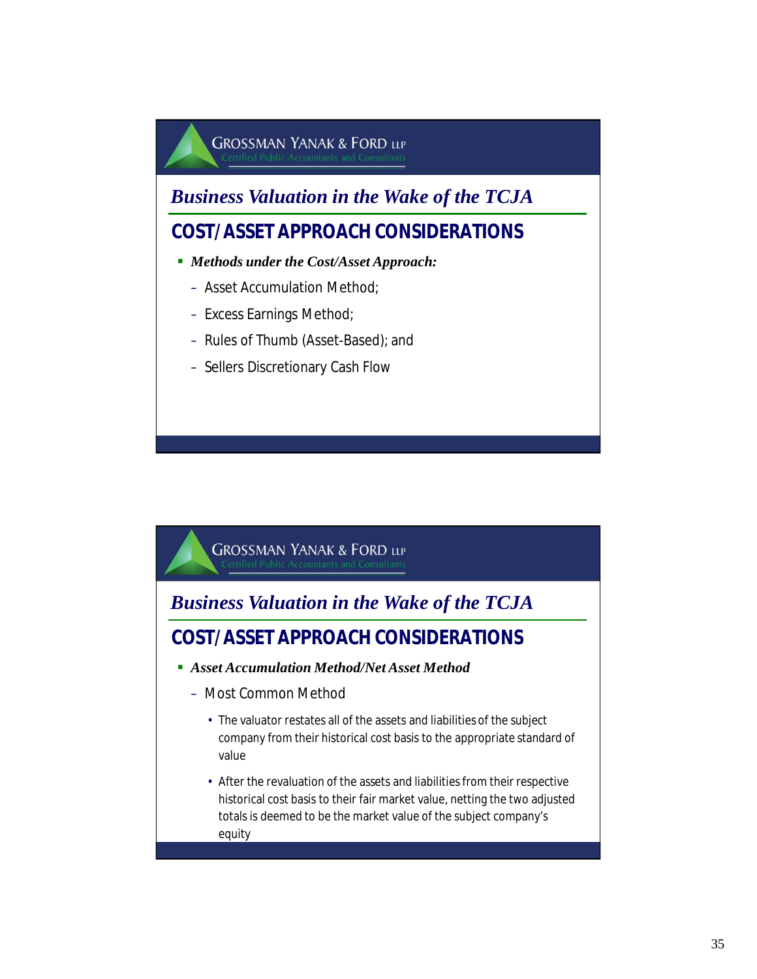### *Business Valuation in the Wake of the TCJA*

### **COST/ASSET APPROACH CONSIDERATIONS**

- *Methods under the Cost/Asset Approach:* 
	- Asset Accumulation Method;
	- Excess Earnings Method;
	- Rules of Thumb (Asset-Based); and
	- Sellers Discretionary Cash Flow



*Business Valuation in the Wake of the TCJA*

### **COST/ASSET APPROACH CONSIDERATIONS**

- *Asset Accumulation Method/Net Asset Method*
	- Most Common Method
		- The valuator restates all of the assets and liabilities of the subject company from their historical cost basis to the appropriate standard of value
		- After the revaluation of the assets and liabilities from their respective historical cost basis to their fair market value, netting the two adjusted totals is deemed to be the market value of the subject company's equity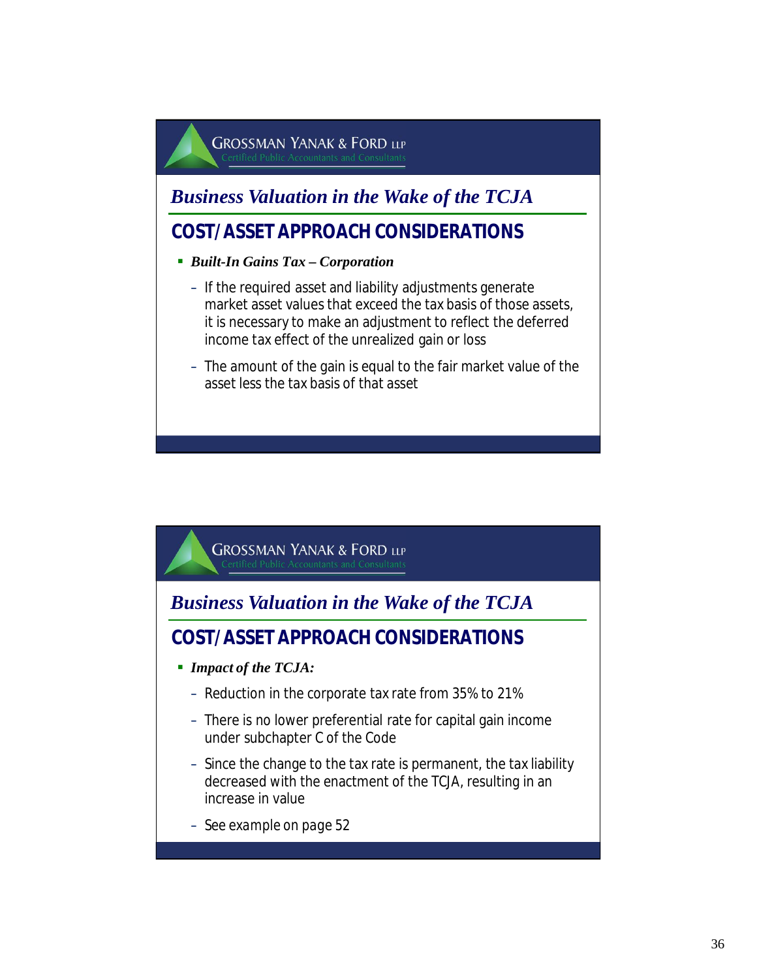*Business Valuation in the Wake of the TCJA*

### **COST/ASSET APPROACH CONSIDERATIONS**

- *Built-In Gains Tax Corporation* 
	- If the required asset and liability adjustments generate market asset values that exceed the tax basis of those assets, it is necessary to make an adjustment to reflect the deferred income tax effect of the unrealized gain or loss
	- The amount of the gain is equal to the fair market value of the asset less the tax basis of that asset

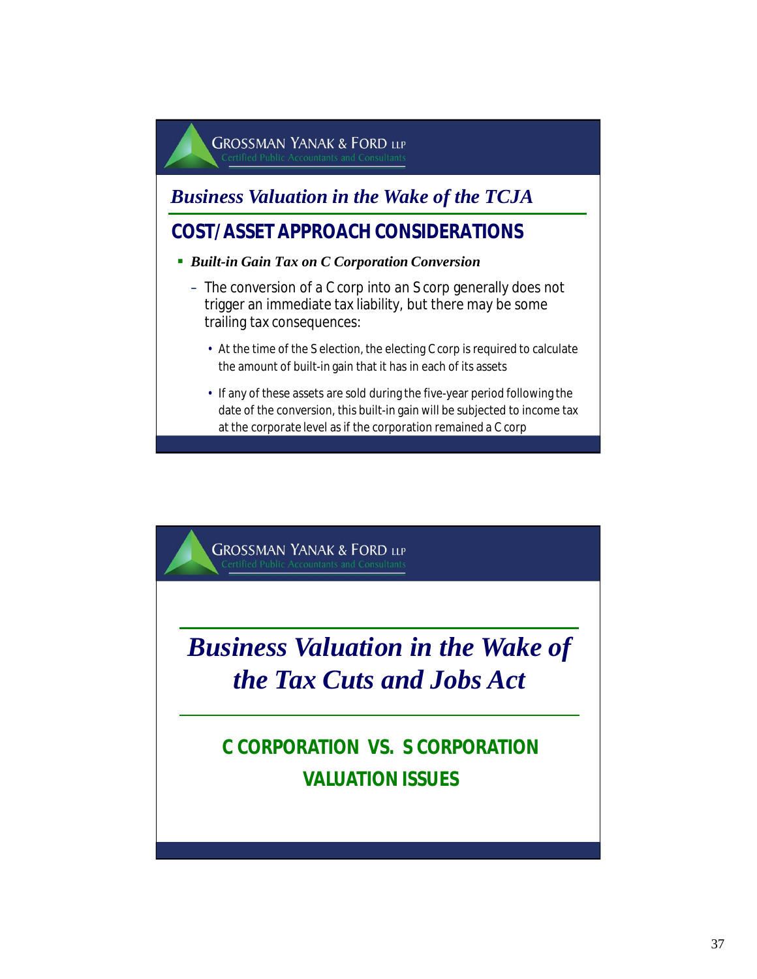### *Business Valuation in the Wake of the TCJA*

### **COST/ASSET APPROACH CONSIDERATIONS**

- *Built-in Gain Tax on C Corporation Conversion*
	- The conversion of a C corp into an S corp generally does not trigger an immediate tax liability, but there may be some trailing tax consequences:
		- At the time of the S election, the electing C corp is required to calculate the amount of built-in gain that it has in each of its assets
		- If any of these assets are sold during the five-year period following the date of the conversion, this built-in gain will be subjected to income tax at the corporate level as if the corporation remained a C corp

**GROSSMAN YANAK & FORD LLP** 

# *Business Valuation in the Wake of the Tax Cuts and Jobs Act*

# **C CORPORATION VS. S CORPORATION VALUATION ISSUES**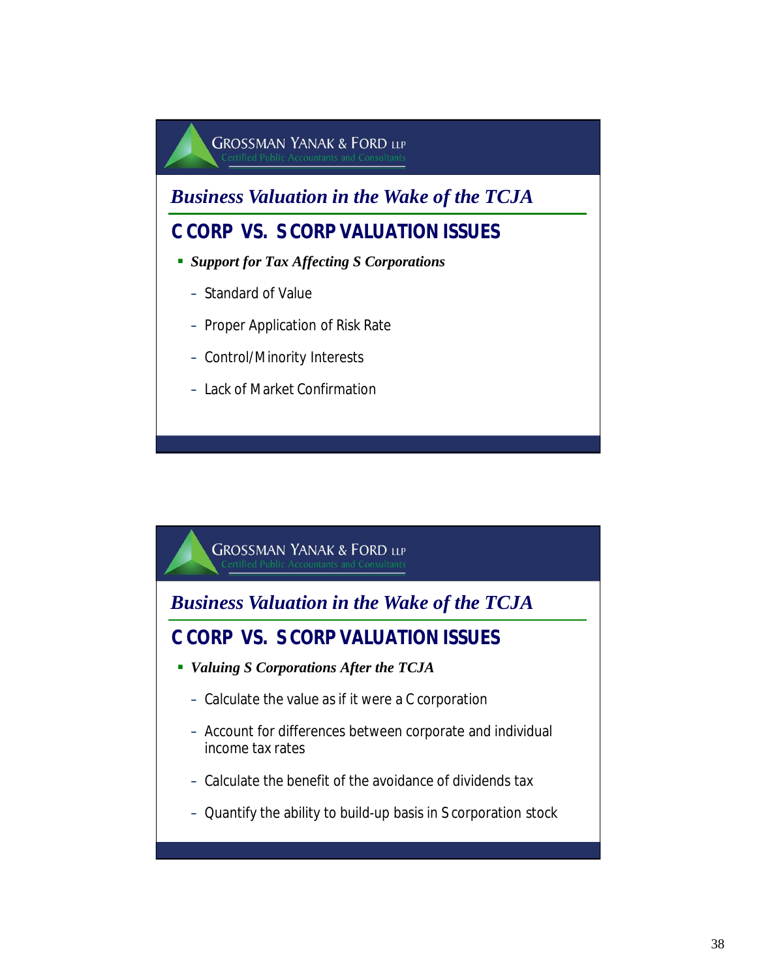

*Business Valuation in the Wake of the TCJA*

**C CORP VS. S CORP VALUATION ISSUES**

- *Valuing S Corporations After the TCJA* 
	- Calculate the value as if it were a C corporation
	- Account for differences between corporate and individual income tax rates
	- Calculate the benefit of the avoidance of dividends tax
	- Quantify the ability to build-up basis in S corporation stock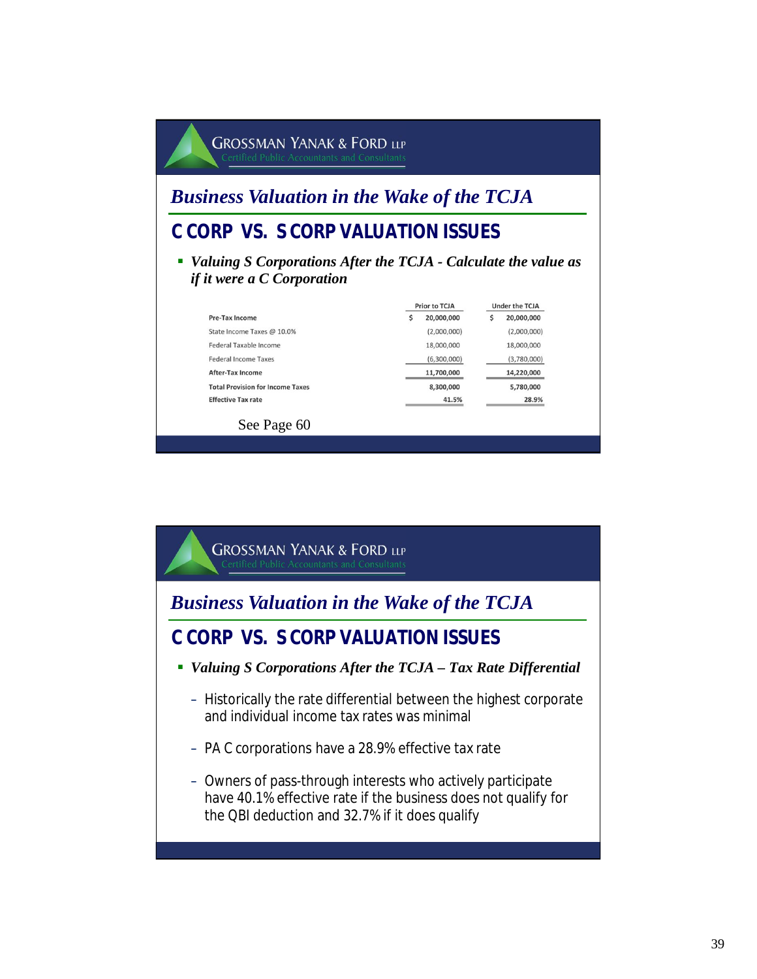#### **GROSSMAN YANAK & FORD LLP** *Business Valuation in the Wake of the TCJA* **C CORP VS. S CORP VALUATION ISSUES** *Valuing S Corporations After the TCJA - Calculate the value as if it were a C Corporation* Prior to TCJA Under the TCJA Pre-Tax Income  $$20,000,000$  $$20,000,000$ State Income Taxes @ 10.0%  $(2,000,000)$  $(2,000,000)$ Federal Taxable Income 18,000,000 18,000,000 Federal Income Taxes  $(6,300,000)$  $(3,780,000)$ After-Tax Income 11,700,000 14,220,000 **Total Provision for Income Taxes** 8,300,000 5,780,000 **Effective Tax rate** 41.5% 28.9% See Page 60

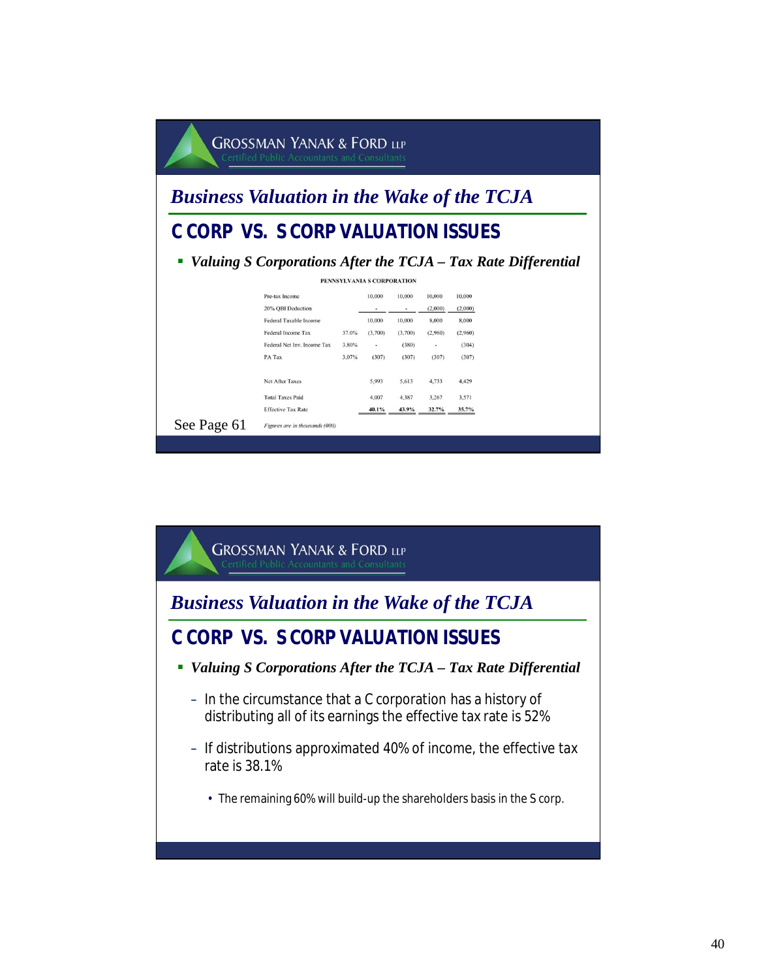|                                                   | <b>GROSSMAN YANAK &amp; FORD LLP</b><br><b>Certified Public Accountants and Consultants</b> |       |                            |                                    |                  |                  |  |
|---------------------------------------------------|---------------------------------------------------------------------------------------------|-------|----------------------------|------------------------------------|------------------|------------------|--|
| <b>Business Valuation in the Wake of the TCJA</b> |                                                                                             |       |                            |                                    |                  |                  |  |
| C CORP VS. S CORP VALUATION ISSUES                |                                                                                             |       |                            |                                    |                  |                  |  |
|                                                   | Valuing S Corporations After the TCJA - Tax Rate Differential                               |       | PENNSYLVANIA S CORPORATION |                                    |                  |                  |  |
|                                                   | Pre-tax Income                                                                              |       | 10,000                     | 10,000                             | 10,000           | 10,000           |  |
|                                                   | 20% OBI Deduction<br><b>Federal Taxable Income</b>                                          |       | 10,000                     | $\overline{\phantom{a}}$<br>10,000 | (2,000)<br>8,000 | (2,000)<br>8,000 |  |
|                                                   | Federal Income Tax                                                                          | 37.0% | (3,700)                    | (3,700)                            | (2,960)          | (2,960)          |  |
|                                                   | Federal Net Inv. Income Tax                                                                 | 3.80% | $\sim$                     | (380)                              | ٠                | (304)            |  |
|                                                   | PA Tax                                                                                      | 3.07% | (307)                      | (307)                              | (307)            | (307)            |  |
|                                                   | Net After Taxes                                                                             |       | 5.993                      | 5,613                              | 4.733            | 4,429            |  |
|                                                   | <b>Total Taxes Paid</b>                                                                     |       | 4,007                      | 4,387                              | 3,267            | 3,571            |  |
|                                                   | <b>Effective Tax Rate</b>                                                                   |       | 40.1%                      | 43.9%                              | 32.7%            | 35.7%            |  |
| See Page 61                                       | Figures are in thousands (000)                                                              |       |                            |                                    |                  |                  |  |

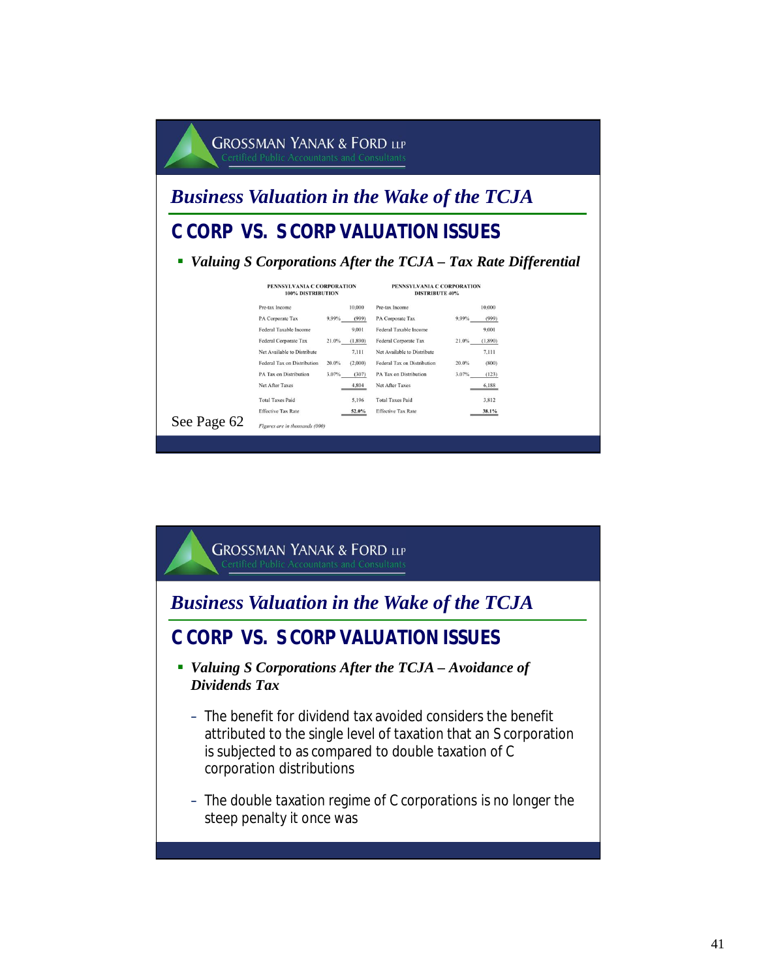|                                    |                                                                                                                                                                                                         |                                                                                                                |                                                                                                                                                                                                         | <b>Business Valuation in the Wake of the TCJA</b>                                                           |
|------------------------------------|---------------------------------------------------------------------------------------------------------------------------------------------------------------------------------------------------------|----------------------------------------------------------------------------------------------------------------|---------------------------------------------------------------------------------------------------------------------------------------------------------------------------------------------------------|-------------------------------------------------------------------------------------------------------------|
| C CORP VS. S CORP VALUATION ISSUES |                                                                                                                                                                                                         |                                                                                                                |                                                                                                                                                                                                         |                                                                                                             |
|                                    |                                                                                                                                                                                                         |                                                                                                                |                                                                                                                                                                                                         | Valuing S Corporations After the TCJA – Tax Rate Differential                                               |
|                                    | PENNSYLVANIA C CORPORATION<br>100% DISTRIBUTION                                                                                                                                                         |                                                                                                                | PENNSYLVANIA C CORPORATION<br><b>DISTRIBUTE 40%</b>                                                                                                                                                     |                                                                                                             |
|                                    | Pre-tax Income<br>PA Corporate Tax<br>Federal Taxable Income<br>Federal Corporate Tax<br>Net Available to Distribute<br><b>Federal Tax on Distribution</b><br>PA Tax on Distribution<br>Net After Taxes | 10,000<br>9.99%<br>(999)<br>9.001<br>21.0%<br>(1, 890)<br>7.111<br>20.0%<br>(2,000)<br>3.07%<br>(307)<br>4,804 | Pre-tax Income<br>PA Corporate Tax<br>Federal Taxable Income<br>Federal Corporate Tax<br>Net Available to Distribute<br><b>Federal Tax on Distribution</b><br>PA Tax on Distribution<br>Net After Taxes | 10,000<br>9.99%<br>(999)<br>9,001<br>21.0%<br>(1,890)<br>7,111<br>20.0%<br>(800)<br>3.07%<br>(123)<br>6,188 |
|                                    | <b>Total Taxes Paid</b>                                                                                                                                                                                 | 5,196                                                                                                          | <b>Total Taxes Paid</b>                                                                                                                                                                                 | 3,812                                                                                                       |

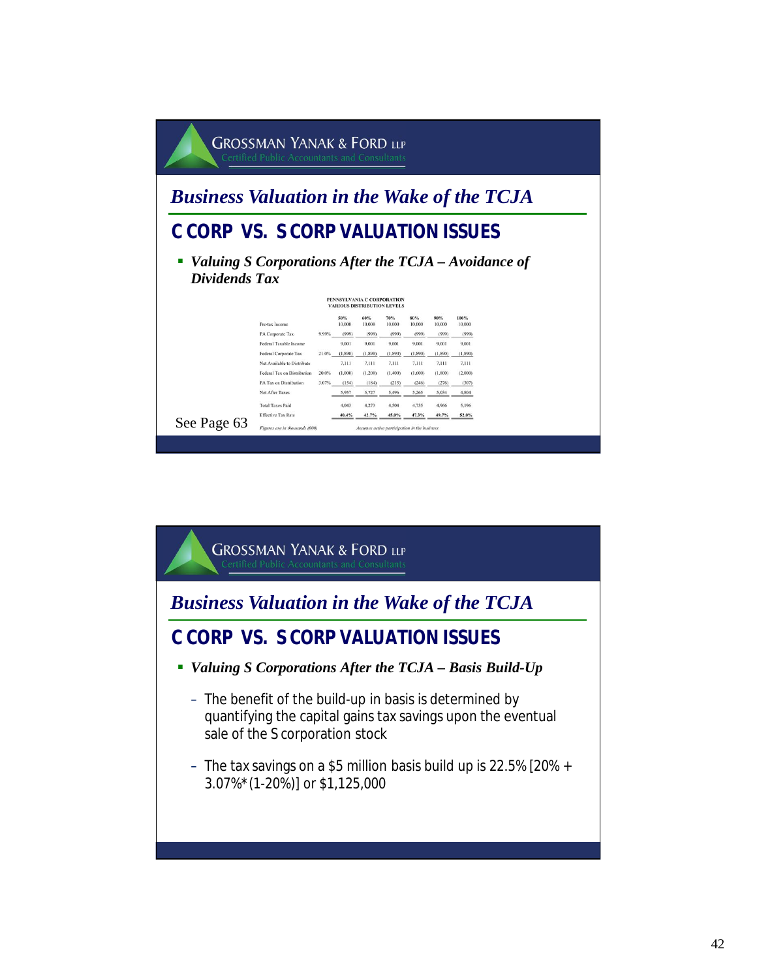

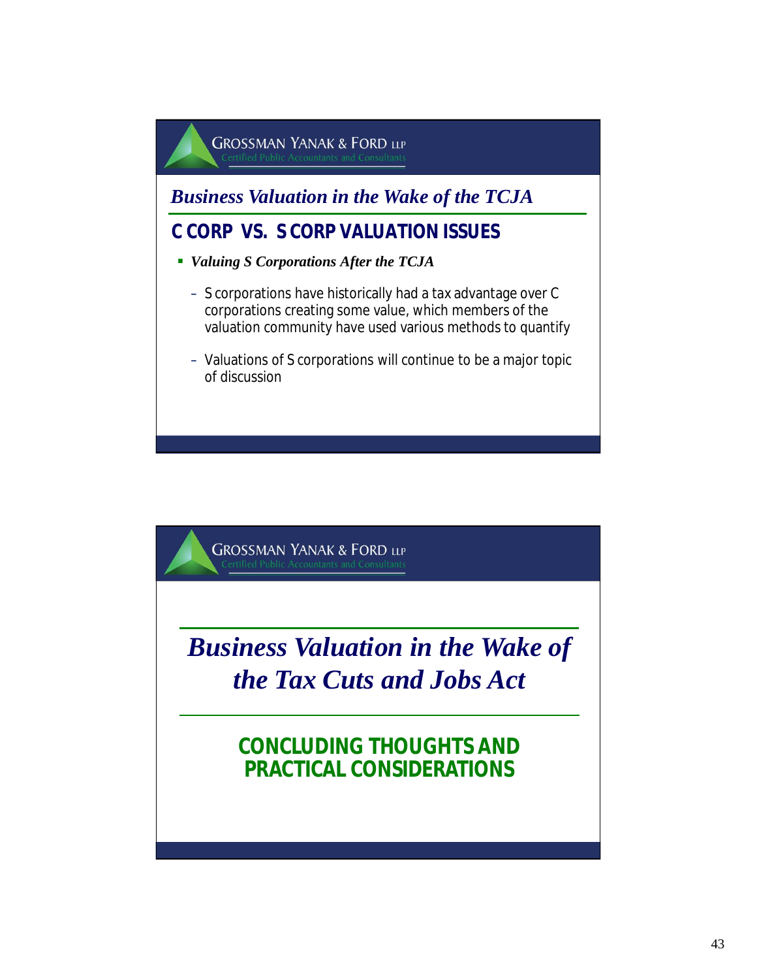

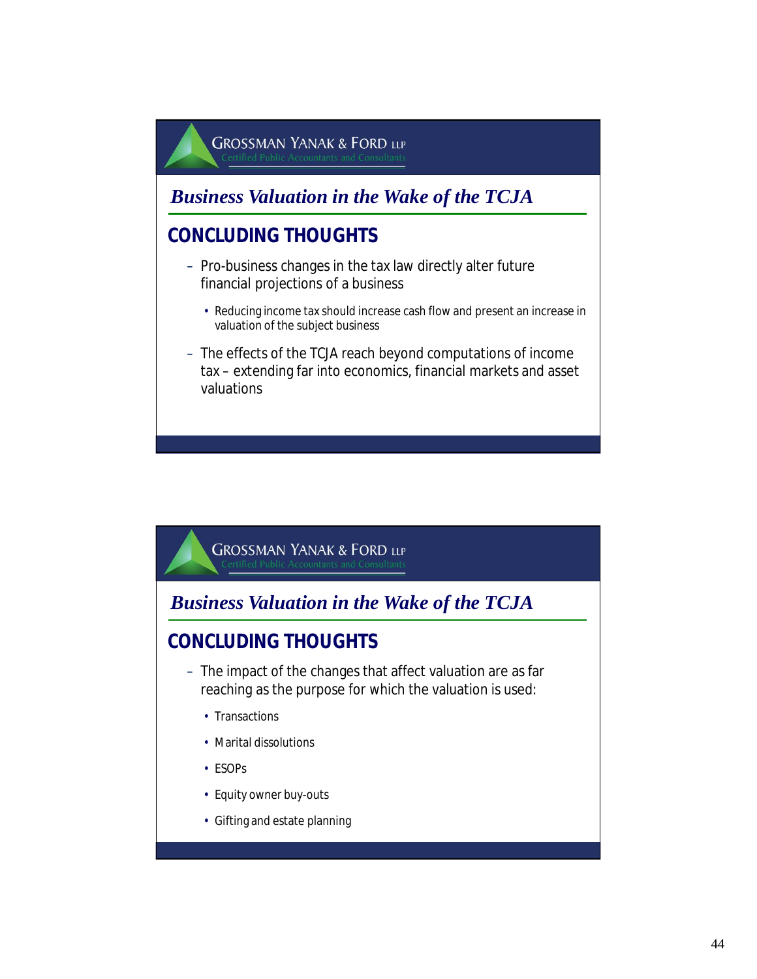*Business Valuation in the Wake of the TCJA*

### **CONCLUDING THOUGHTS**

- Pro-business changes in the tax law directly alter future financial projections of a business
	- Reducing income tax should increase cash flow and present an increase in valuation of the subject business
- The effects of the TCJA reach beyond computations of income tax – extending far into economics, financial markets and asset valuations